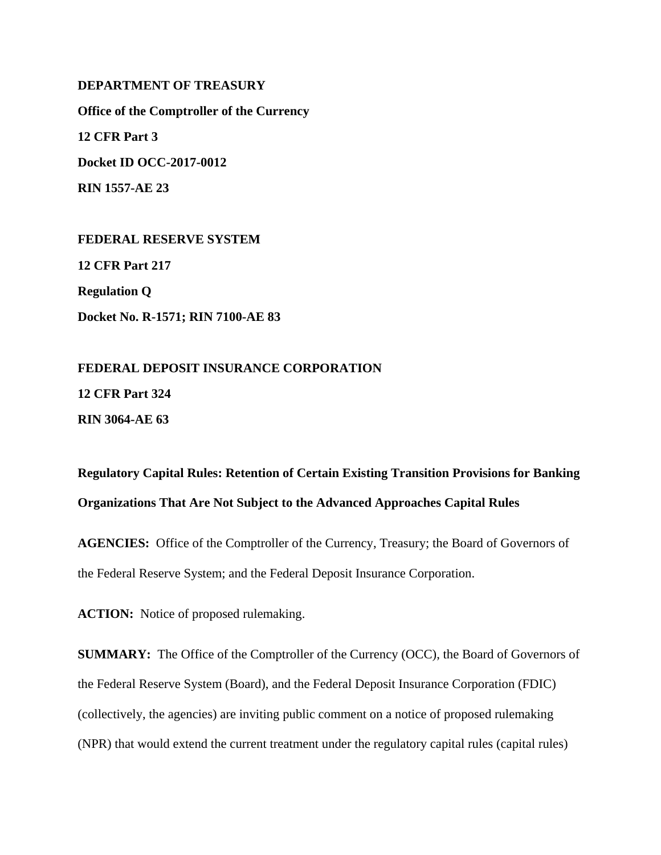## **DEPARTMENT OF TREASURY**

**Office of the Comptroller of the Currency 12 CFR Part 3 Docket ID OCC-2017-0012 RIN 1557-AE 23** 

**FEDERAL RESERVE SYSTEM 12 CFR Part 217 Regulation Q Docket No. R-1571; RIN 7100-AE 83** 

**FEDERAL DEPOSIT INSURANCE CORPORATION 12 CFR Part 324 RIN 3064-AE 63**

**Regulatory Capital Rules: Retention of Certain Existing Transition Provisions for Banking Organizations That Are Not Subject to the Advanced Approaches Capital Rules** 

**AGENCIES:** Office of the Comptroller of the Currency, Treasury; the Board of Governors of the Federal Reserve System; and the Federal Deposit Insurance Corporation.

**ACTION:** Notice of proposed rulemaking.

**SUMMARY:** The Office of the Comptroller of the Currency (OCC), the Board of Governors of the Federal Reserve System (Board), and the Federal Deposit Insurance Corporation (FDIC) (collectively, the agencies) are inviting public comment on a notice of proposed rulemaking (NPR) that would extend the current treatment under the regulatory capital rules (capital rules)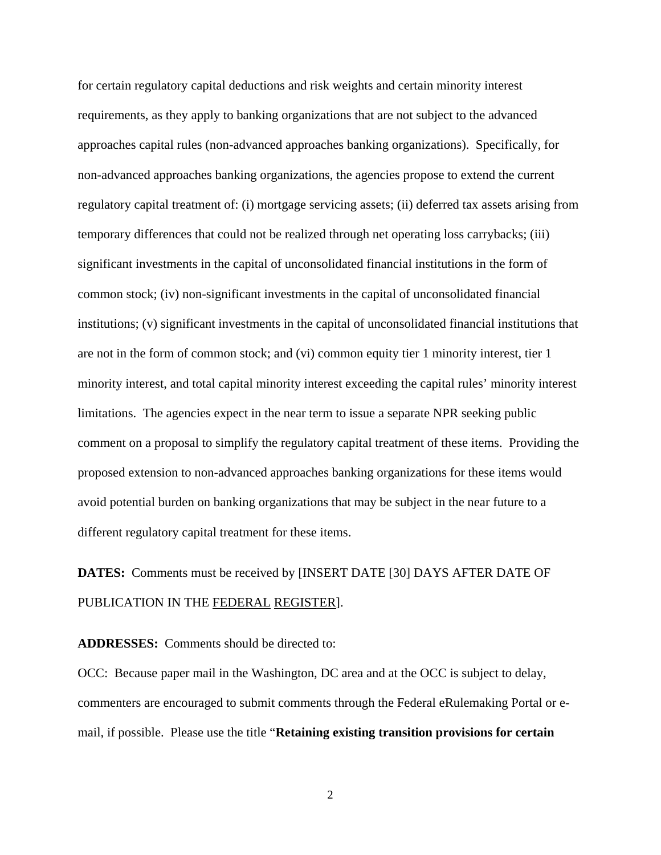for certain regulatory capital deductions and risk weights and certain minority interest requirements, as they apply to banking organizations that are not subject to the advanced approaches capital rules (non-advanced approaches banking organizations). Specifically, for non-advanced approaches banking organizations, the agencies propose to extend the current regulatory capital treatment of: (i) mortgage servicing assets; (ii) deferred tax assets arising from temporary differences that could not be realized through net operating loss carrybacks; (iii) significant investments in the capital of unconsolidated financial institutions in the form of common stock; (iv) non-significant investments in the capital of unconsolidated financial institutions; (v) significant investments in the capital of unconsolidated financial institutions that are not in the form of common stock; and (vi) common equity tier 1 minority interest, tier 1 minority interest, and total capital minority interest exceeding the capital rules' minority interest limitations. The agencies expect in the near term to issue a separate NPR seeking public comment on a proposal to simplify the regulatory capital treatment of these items. Providing the proposed extension to non-advanced approaches banking organizations for these items would avoid potential burden on banking organizations that may be subject in the near future to a different regulatory capital treatment for these items.

# **DATES:** Comments must be received by [INSERT DATE [30] DAYS AFTER DATE OF PUBLICATION IN THE FEDERAL REGISTER].

**ADDRESSES:** Comments should be directed to:

OCC: Because paper mail in the Washington, DC area and at the OCC is subject to delay, commenters are encouraged to submit comments through the Federal eRulemaking Portal or email, if possible. Please use the title "**Retaining existing transition provisions for certain**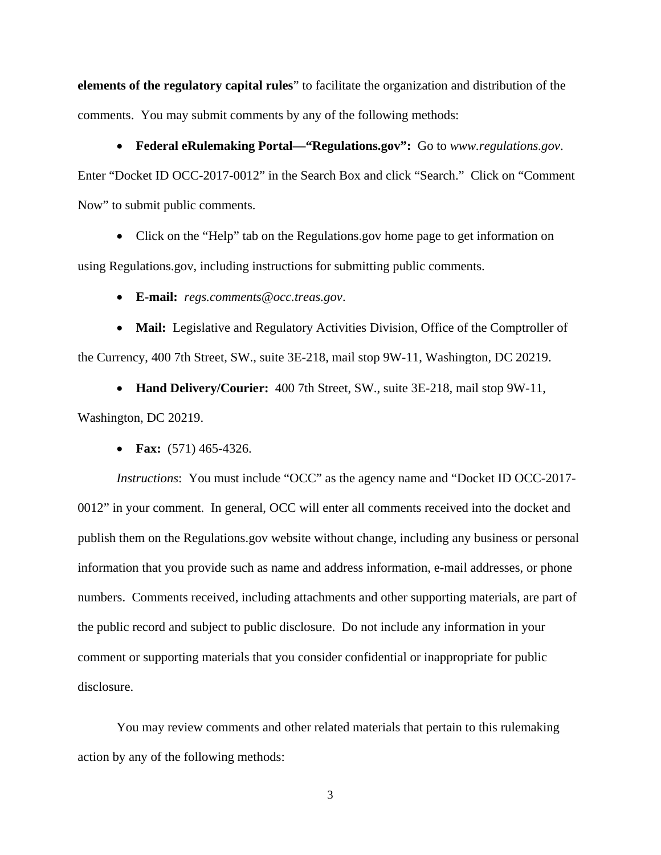**elements of the regulatory capital rules**" to facilitate the organization and distribution of the comments. You may submit comments by any of the following methods:

 **Federal eRulemaking Portal—"Regulations.gov":** Go to *www.regulations.gov*. Enter "Docket ID OCC-2017-0012" in the Search Box and click "Search." Click on "Comment Now" to submit public comments.

• Click on the "Help" tab on the Regulations.gov home page to get information on

using Regulations.gov, including instructions for submitting public comments.

**E-mail:** *regs.comments@occ.treas.gov*.

• Mail: Legislative and Regulatory Activities Division, Office of the Comptroller of the Currency, 400 7th Street, SW., suite 3E-218, mail stop 9W-11, Washington, DC 20219.

 **Hand Delivery/Courier:** 400 7th Street, SW., suite 3E-218, mail stop 9W-11, Washington, DC 20219.

**Fax:** (571) 465-4326.

*Instructions*: You must include "OCC" as the agency name and "Docket ID OCC-2017- 0012" in your comment.In general, OCC will enter all comments received into the docket and publish them on the Regulations.gov website without change, including any business or personal information that you provide such as name and address information, e-mail addresses, or phone numbers. Comments received, including attachments and other supporting materials, are part of the public record and subject to public disclosure. Do not include any information in your comment or supporting materials that you consider confidential or inappropriate for public disclosure.

 You may review comments and other related materials that pertain to this rulemaking action by any of the following methods: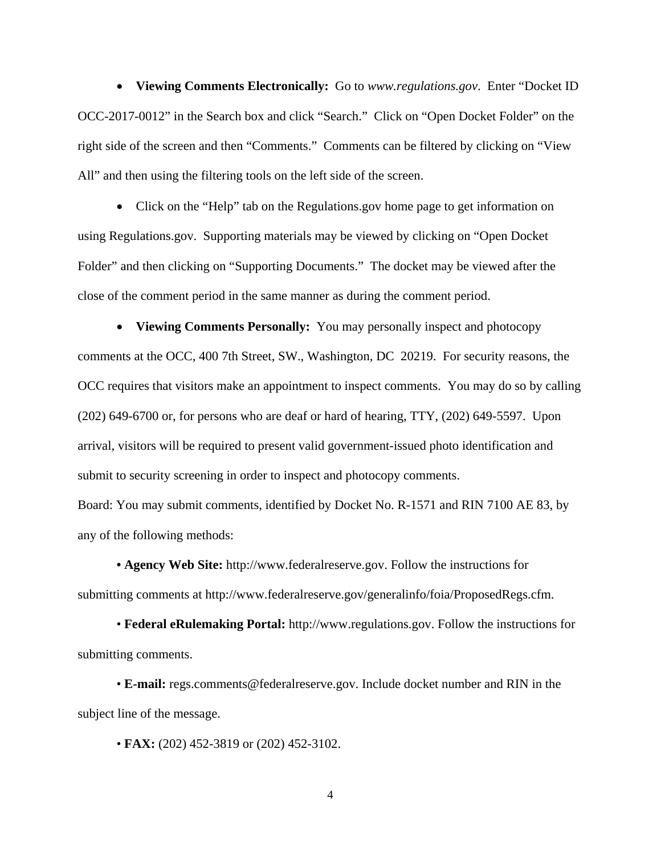**Viewing Comments Electronically:** Go to *www.regulations.gov*. Enter "Docket ID OCC-2017-0012" in the Search box and click "Search." Click on "Open Docket Folder" on the right side of the screen and then "Comments." Comments can be filtered by clicking on "View All" and then using the filtering tools on the left side of the screen.

• Click on the "Help" tab on the Regulations.gov home page to get information on using Regulations.gov. Supporting materials may be viewed by clicking on "Open Docket Folder" and then clicking on "Supporting Documents." The docket may be viewed after the close of the comment period in the same manner as during the comment period.

 **Viewing Comments Personally:** You may personally inspect and photocopy comments at the OCC, 400 7th Street, SW., Washington, DC 20219. For security reasons, the OCC requires that visitors make an appointment to inspect comments. You may do so by calling (202) 649-6700 or, for persons who are deaf or hard of hearing, TTY, (202) 649-5597. Upon arrival, visitors will be required to present valid government-issued photo identification and submit to security screening in order to inspect and photocopy comments.

Board: You may submit comments, identified by Docket No. R-1571 and RIN 7100 AE 83, by any of the following methods:

**• Agency Web Site:** http://www.federalreserve.gov. Follow the instructions for submitting comments at http://www.federalreserve.gov/generalinfo/foia/ProposedRegs.cfm.

• **Federal eRulemaking Portal:** http://www.regulations.gov. Follow the instructions for submitting comments.

• **E-mail:** regs.comments@federalreserve.gov. Include docket number and RIN in the subject line of the message.

• **FAX:** (202) 452-3819 or (202) 452-3102.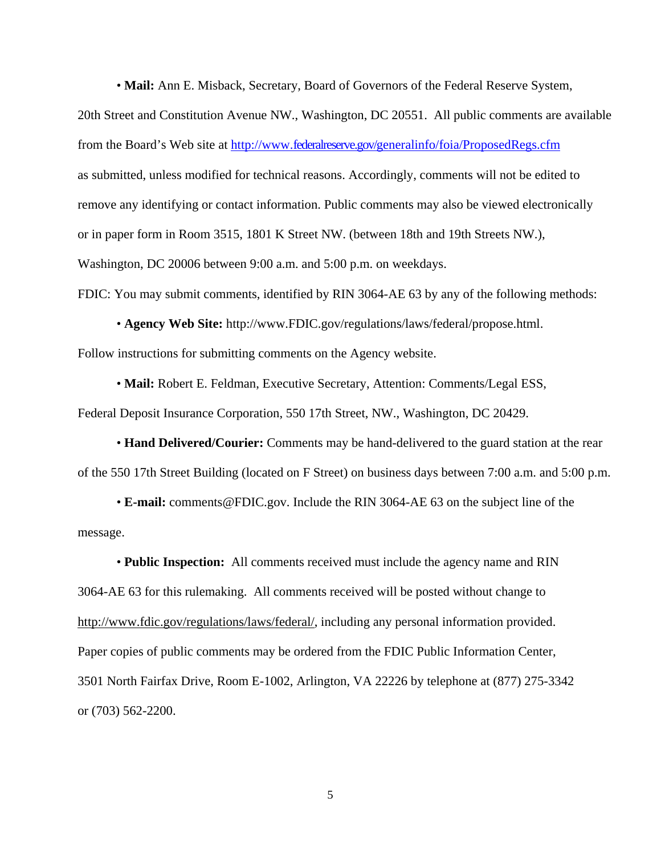• **Mail:** Ann E. Misback, Secretary, Board of Governors of the Federal Reserve System,

20th Street and Constitution Avenue NW., Washington, DC 20551. All public comments are available from the Board's Web site at http://www.federalreserve.gov/generalinfo/foia/ProposedRegs.cfm as submitted, unless modified for technical reasons. Accordingly, comments will not be edited to remove any identifying or contact information. Public comments may also be viewed electronically or in paper form in Room 3515, 1801 K Street NW. (between 18th and 19th Streets NW.), Washington, DC 20006 between 9:00 a.m. and 5:00 p.m. on weekdays. FDIC: You may submit comments, identified by RIN 3064-AE 63 by any of the following methods:

• **Agency Web Site:** http://www.FDIC.gov/regulations/laws/federal/propose.html. Follow instructions for submitting comments on the Agency website.

• **Mail:** Robert E. Feldman, Executive Secretary, Attention: Comments/Legal ESS, Federal Deposit Insurance Corporation, 550 17th Street, NW., Washington, DC 20429.

• **Hand Delivered/Courier:** Comments may be hand-delivered to the guard station at the rear of the 550 17th Street Building (located on F Street) on business days between 7:00 a.m. and 5:00 p.m.

• **E-mail:** comments@FDIC.gov. Include the RIN 3064-AE 63 on the subject line of the message.

• **Public Inspection:** All comments received must include the agency name and RIN 3064-AE 63 for this rulemaking. All comments received will be posted without change to http://www.fdic.gov/regulations/laws/federal/, including any personal information provided. Paper copies of public comments may be ordered from the FDIC Public Information Center, 3501 North Fairfax Drive, Room E-1002, Arlington, VA 22226 by telephone at (877) 275-3342 or (703) 562-2200.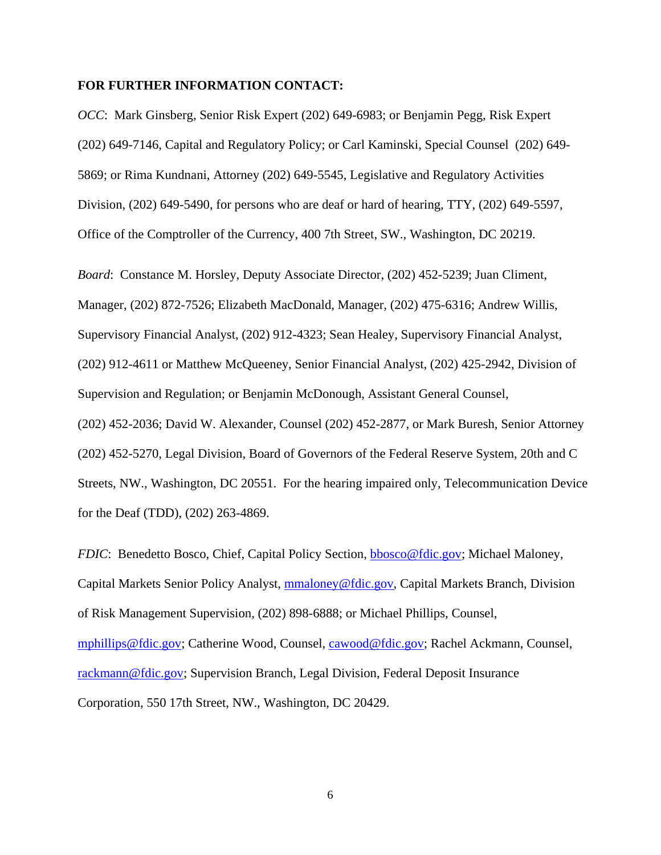#### **FOR FURTHER INFORMATION CONTACT:**

*OCC*: Mark Ginsberg, Senior Risk Expert (202) 649-6983; or Benjamin Pegg, Risk Expert (202) 649-7146, Capital and Regulatory Policy; or Carl Kaminski, Special Counsel (202) 649- 5869; or Rima Kundnani, Attorney (202) 649-5545, Legislative and Regulatory Activities Division, (202) 649-5490, for persons who are deaf or hard of hearing, TTY, (202) 649-5597, Office of the Comptroller of the Currency, 400 7th Street, SW., Washington, DC 20219.

*Board*: Constance M. Horsley, Deputy Associate Director, (202) 452-5239; Juan Climent, Manager, (202) 872-7526; Elizabeth MacDonald, Manager, (202) 475-6316; Andrew Willis, Supervisory Financial Analyst, (202) 912-4323; Sean Healey, Supervisory Financial Analyst, (202) 912-4611 or Matthew McQueeney, Senior Financial Analyst, (202) 425-2942, Division of Supervision and Regulation; or Benjamin McDonough, Assistant General Counsel, (202) 452-2036; David W. Alexander, Counsel (202) 452-2877, or Mark Buresh, Senior Attorney (202) 452-5270, Legal Division, Board of Governors of the Federal Reserve System, 20th and C Streets, NW., Washington, DC 20551. For the hearing impaired only, Telecommunication Device for the Deaf (TDD), (202) 263-4869.

*FDIC*: Benedetto Bosco, Chief, Capital Policy Section, bbosco@fdic.gov; Michael Maloney, Capital Markets Senior Policy Analyst, mmaloney@fdic.gov, Capital Markets Branch, Division of Risk Management Supervision, (202) 898-6888; or Michael Phillips, Counsel, mphillips@fdic.gov; Catherine Wood, Counsel, cawood@fdic.gov; Rachel Ackmann, Counsel, rackmann@fdic.gov; Supervision Branch, Legal Division, Federal Deposit Insurance Corporation, 550 17th Street, NW., Washington, DC 20429.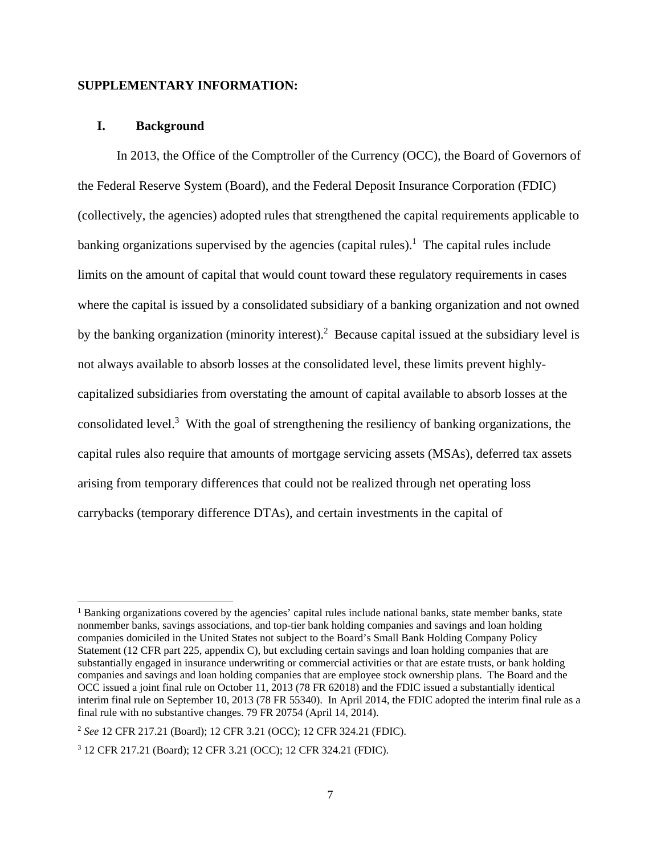#### **SUPPLEMENTARY INFORMATION:**

## **I. Background**

In 2013, the Office of the Comptroller of the Currency (OCC), the Board of Governors of the Federal Reserve System (Board), and the Federal Deposit Insurance Corporation (FDIC) (collectively, the agencies) adopted rules that strengthened the capital requirements applicable to banking organizations supervised by the agencies (capital rules).<sup>1</sup> The capital rules include limits on the amount of capital that would count toward these regulatory requirements in cases where the capital is issued by a consolidated subsidiary of a banking organization and not owned by the banking organization (minority interest).<sup>2</sup> Because capital issued at the subsidiary level is not always available to absorb losses at the consolidated level, these limits prevent highlycapitalized subsidiaries from overstating the amount of capital available to absorb losses at the consolidated level.<sup>3</sup> With the goal of strengthening the resiliency of banking organizations, the capital rules also require that amounts of mortgage servicing assets (MSAs), deferred tax assets arising from temporary differences that could not be realized through net operating loss carrybacks (temporary difference DTAs), and certain investments in the capital of

<sup>&</sup>lt;sup>1</sup> Banking organizations covered by the agencies' capital rules include national banks, state member banks, state nonmember banks, savings associations, and top-tier bank holding companies and savings and loan holding companies domiciled in the United States not subject to the Board's Small Bank Holding Company Policy Statement (12 CFR part 225, appendix C), but excluding certain savings and loan holding companies that are substantially engaged in insurance underwriting or commercial activities or that are estate trusts, or bank holding companies and savings and loan holding companies that are employee stock ownership plans. The Board and the OCC issued a joint final rule on October 11, 2013 (78 FR 62018) and the FDIC issued a substantially identical interim final rule on September 10, 2013 (78 FR 55340). In April 2014, the FDIC adopted the interim final rule as a final rule with no substantive changes. 79 FR 20754 (April 14, 2014).

<sup>2</sup> *See* 12 CFR 217.21 (Board); 12 CFR 3.21 (OCC); 12 CFR 324.21 (FDIC).

<sup>3</sup> 12 CFR 217.21 (Board); 12 CFR 3.21 (OCC); 12 CFR 324.21 (FDIC).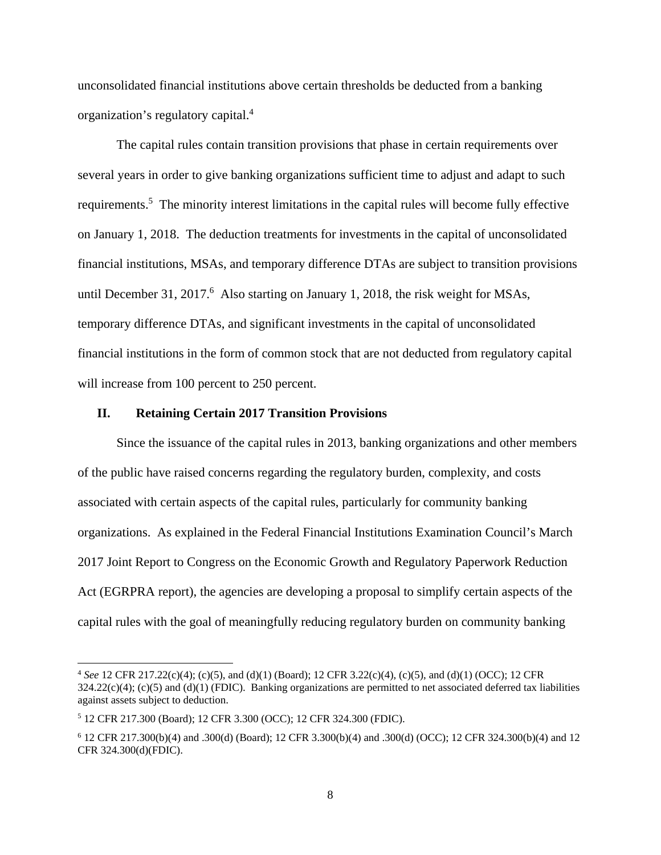unconsolidated financial institutions above certain thresholds be deducted from a banking organization's regulatory capital.<sup>4</sup>

 The capital rules contain transition provisions that phase in certain requirements over several years in order to give banking organizations sufficient time to adjust and adapt to such requirements.<sup>5</sup> The minority interest limitations in the capital rules will become fully effective on January 1, 2018. The deduction treatments for investments in the capital of unconsolidated financial institutions, MSAs, and temporary difference DTAs are subject to transition provisions until December 31, 2017.<sup>6</sup> Also starting on January 1, 2018, the risk weight for MSAs, temporary difference DTAs, and significant investments in the capital of unconsolidated financial institutions in the form of common stock that are not deducted from regulatory capital will increase from 100 percent to 250 percent.

#### **II. Retaining Certain 2017 Transition Provisions**

Since the issuance of the capital rules in 2013, banking organizations and other members of the public have raised concerns regarding the regulatory burden, complexity, and costs associated with certain aspects of the capital rules, particularly for community banking organizations. As explained in the Federal Financial Institutions Examination Council's March 2017 Joint Report to Congress on the Economic Growth and Regulatory Paperwork Reduction Act (EGRPRA report), the agencies are developing a proposal to simplify certain aspects of the capital rules with the goal of meaningfully reducing regulatory burden on community banking

<sup>4</sup> *See* 12 CFR 217.22(c)(4); (c)(5), and (d)(1) (Board); 12 CFR 3.22(c)(4), (c)(5), and (d)(1) (OCC); 12 CFR  $324.22(c)(4)$ ; (c)(5) and (d)(1) (FDIC). Banking organizations are permitted to net associated deferred tax liabilities against assets subject to deduction.

<sup>5</sup> 12 CFR 217.300 (Board); 12 CFR 3.300 (OCC); 12 CFR 324.300 (FDIC).

<sup>6</sup> 12 CFR 217.300(b)(4) and .300(d) (Board); 12 CFR 3.300(b)(4) and .300(d) (OCC); 12 CFR 324.300(b)(4) and 12 CFR 324.300(d)(FDIC).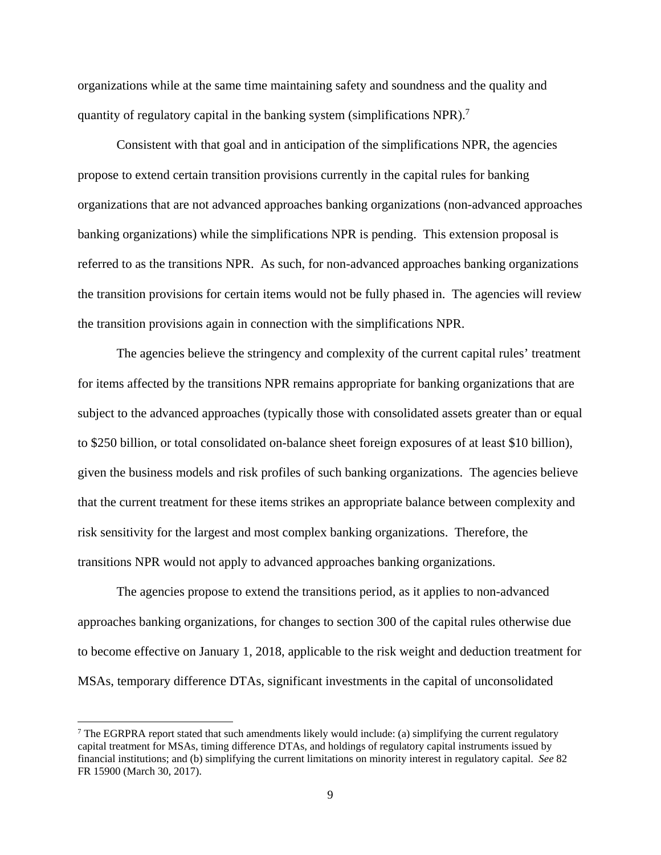organizations while at the same time maintaining safety and soundness and the quality and quantity of regulatory capital in the banking system (simplifications NPR).<sup>7</sup>

Consistent with that goal and in anticipation of the simplifications NPR, the agencies propose to extend certain transition provisions currently in the capital rules for banking organizations that are not advanced approaches banking organizations (non-advanced approaches banking organizations) while the simplifications NPR is pending. This extension proposal is referred to as the transitions NPR. As such, for non-advanced approaches banking organizations the transition provisions for certain items would not be fully phased in. The agencies will review the transition provisions again in connection with the simplifications NPR.

The agencies believe the stringency and complexity of the current capital rules' treatment for items affected by the transitions NPR remains appropriate for banking organizations that are subject to the advanced approaches (typically those with consolidated assets greater than or equal to \$250 billion, or total consolidated on-balance sheet foreign exposures of at least \$10 billion), given the business models and risk profiles of such banking organizations. The agencies believe that the current treatment for these items strikes an appropriate balance between complexity and risk sensitivity for the largest and most complex banking organizations. Therefore, the transitions NPR would not apply to advanced approaches banking organizations.

The agencies propose to extend the transitions period, as it applies to non-advanced approaches banking organizations, for changes to section 300 of the capital rules otherwise due to become effective on January 1, 2018, applicable to the risk weight and deduction treatment for MSAs, temporary difference DTAs, significant investments in the capital of unconsolidated

<sup>&</sup>lt;sup>7</sup> The EGRPRA report stated that such amendments likely would include: (a) simplifying the current regulatory capital treatment for MSAs, timing difference DTAs, and holdings of regulatory capital instruments issued by financial institutions; and (b) simplifying the current limitations on minority interest in regulatory capital. *See* 82 FR 15900 (March 30, 2017).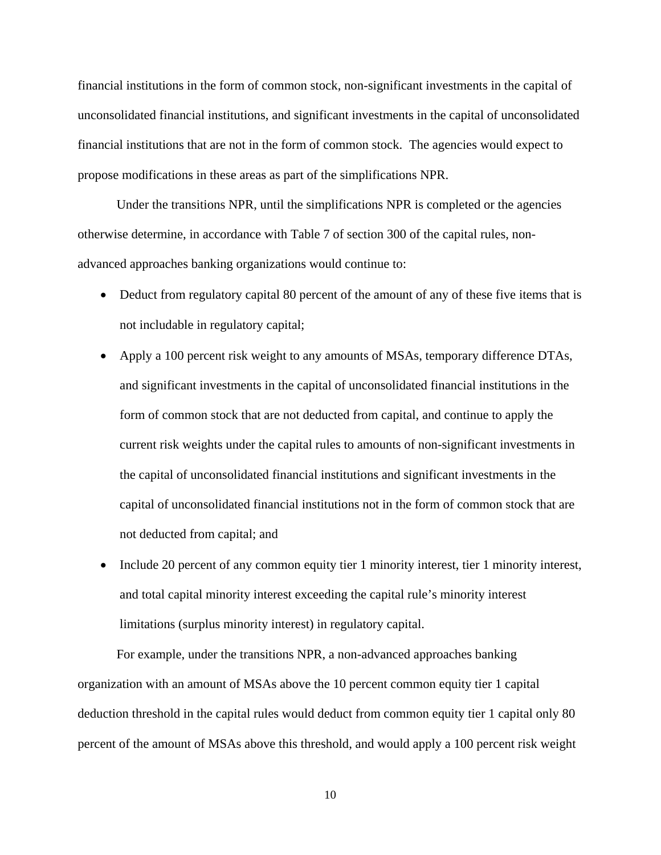financial institutions in the form of common stock, non-significant investments in the capital of unconsolidated financial institutions, and significant investments in the capital of unconsolidated financial institutions that are not in the form of common stock. The agencies would expect to propose modifications in these areas as part of the simplifications NPR.

Under the transitions NPR, until the simplifications NPR is completed or the agencies otherwise determine, in accordance with Table 7 of section 300 of the capital rules, nonadvanced approaches banking organizations would continue to:

- Deduct from regulatory capital 80 percent of the amount of any of these five items that is not includable in regulatory capital;
- Apply a 100 percent risk weight to any amounts of MSAs, temporary difference DTAs, and significant investments in the capital of unconsolidated financial institutions in the form of common stock that are not deducted from capital, and continue to apply the current risk weights under the capital rules to amounts of non-significant investments in the capital of unconsolidated financial institutions and significant investments in the capital of unconsolidated financial institutions not in the form of common stock that are not deducted from capital; and
- Include 20 percent of any common equity tier 1 minority interest, tier 1 minority interest, and total capital minority interest exceeding the capital rule's minority interest limitations (surplus minority interest) in regulatory capital.

For example, under the transitions NPR, a non-advanced approaches banking organization with an amount of MSAs above the 10 percent common equity tier 1 capital deduction threshold in the capital rules would deduct from common equity tier 1 capital only 80 percent of the amount of MSAs above this threshold, and would apply a 100 percent risk weight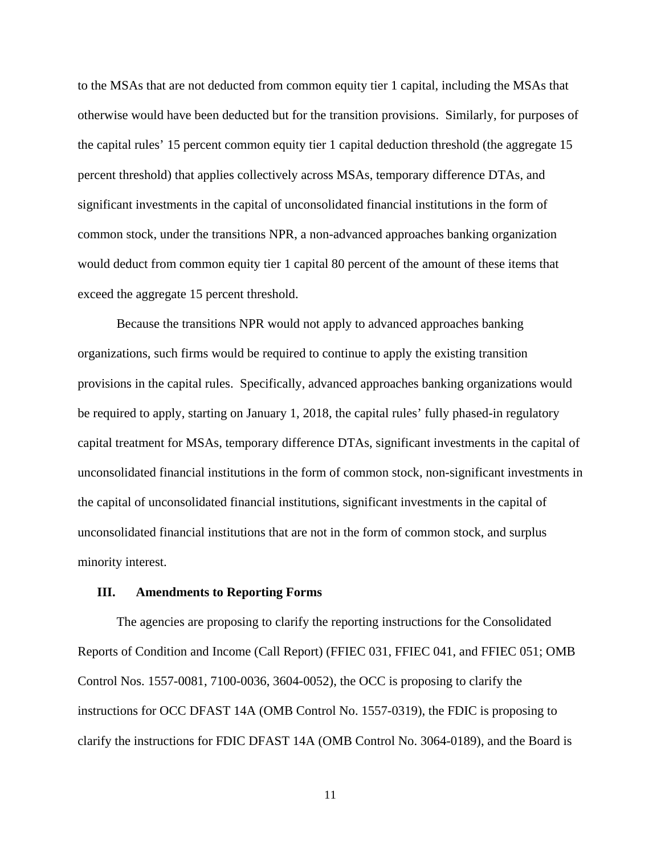to the MSAs that are not deducted from common equity tier 1 capital, including the MSAs that otherwise would have been deducted but for the transition provisions. Similarly, for purposes of the capital rules' 15 percent common equity tier 1 capital deduction threshold (the aggregate 15 percent threshold) that applies collectively across MSAs, temporary difference DTAs, and significant investments in the capital of unconsolidated financial institutions in the form of common stock, under the transitions NPR, a non-advanced approaches banking organization would deduct from common equity tier 1 capital 80 percent of the amount of these items that exceed the aggregate 15 percent threshold.

 Because the transitions NPR would not apply to advanced approaches banking organizations, such firms would be required to continue to apply the existing transition provisions in the capital rules. Specifically, advanced approaches banking organizations would be required to apply, starting on January 1, 2018, the capital rules' fully phased-in regulatory capital treatment for MSAs, temporary difference DTAs, significant investments in the capital of unconsolidated financial institutions in the form of common stock, non-significant investments in the capital of unconsolidated financial institutions, significant investments in the capital of unconsolidated financial institutions that are not in the form of common stock, and surplus minority interest.

#### **III. Amendments to Reporting Forms**

The agencies are proposing to clarify the reporting instructions for the Consolidated Reports of Condition and Income (Call Report) (FFIEC 031, FFIEC 041, and FFIEC 051; OMB Control Nos. 1557-0081, 7100-0036, 3604-0052), the OCC is proposing to clarify the instructions for OCC DFAST 14A (OMB Control No. 1557-0319), the FDIC is proposing to clarify the instructions for FDIC DFAST 14A (OMB Control No. 3064-0189), and the Board is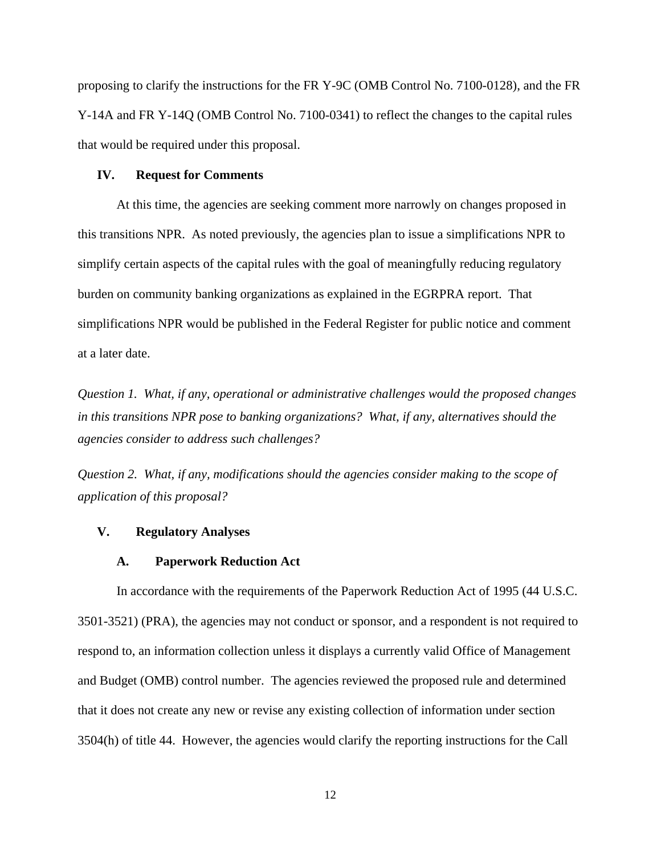proposing to clarify the instructions for the FR Y-9C (OMB Control No. 7100-0128), and the FR Y-14A and FR Y-14Q (OMB Control No. 7100-0341) to reflect the changes to the capital rules that would be required under this proposal.

#### **IV. Request for Comments**

At this time, the agencies are seeking comment more narrowly on changes proposed in this transitions NPR. As noted previously, the agencies plan to issue a simplifications NPR to simplify certain aspects of the capital rules with the goal of meaningfully reducing regulatory burden on community banking organizations as explained in the EGRPRA report. That simplifications NPR would be published in the Federal Register for public notice and comment at a later date.

*Question 1. What, if any, operational or administrative challenges would the proposed changes in this transitions NPR pose to banking organizations? What, if any, alternatives should the agencies consider to address such challenges?* 

*Question 2. What, if any, modifications should the agencies consider making to the scope of application of this proposal?* 

## **V. Regulatory Analyses**

#### **A. Paperwork Reduction Act**

In accordance with the requirements of the Paperwork Reduction Act of 1995 (44 U.S.C. 3501-3521) (PRA), the agencies may not conduct or sponsor, and a respondent is not required to respond to, an information collection unless it displays a currently valid Office of Management and Budget (OMB) control number. The agencies reviewed the proposed rule and determined that it does not create any new or revise any existing collection of information under section 3504(h) of title 44. However, the agencies would clarify the reporting instructions for the Call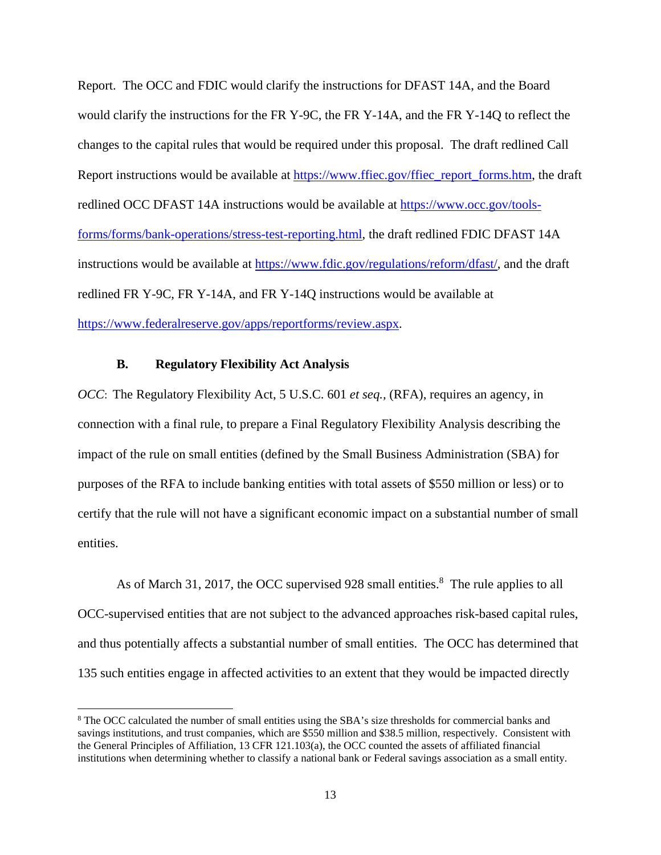Report. The OCC and FDIC would clarify the instructions for DFAST 14A, and the Board would clarify the instructions for the FR Y-9C, the FR Y-14A, and the FR Y-14Q to reflect the changes to the capital rules that would be required under this proposal. The draft redlined Call Report instructions would be available at https://www.ffiec.gov/ffiec\_report\_forms.htm, the draft redlined OCC DFAST 14A instructions would be available at https://www.occ.gov/toolsforms/forms/bank-operations/stress-test-reporting.html, the draft redlined FDIC DFAST 14A instructions would be available at https://www.fdic.gov/regulations/reform/dfast/, and the draft redlined FR Y-9C, FR Y-14A, and FR Y-14Q instructions would be available at https://www.federalreserve.gov/apps/reportforms/review.aspx.

## **B. Regulatory Flexibility Act Analysis**

*OCC*: The Regulatory Flexibility Act, 5 U.S.C. 601 *et seq.*, (RFA), requires an agency, in connection with a final rule, to prepare a Final Regulatory Flexibility Analysis describing the impact of the rule on small entities (defined by the Small Business Administration (SBA) for purposes of the RFA to include banking entities with total assets of \$550 million or less) or to certify that the rule will not have a significant economic impact on a substantial number of small entities.

As of March 31, 2017, the OCC supervised 928 small entities.<sup>8</sup> The rule applies to all OCC-supervised entities that are not subject to the advanced approaches risk-based capital rules, and thus potentially affects a substantial number of small entities. The OCC has determined that 135 such entities engage in affected activities to an extent that they would be impacted directly

<sup>&</sup>lt;sup>8</sup> The OCC calculated the number of small entities using the SBA's size thresholds for commercial banks and savings institutions, and trust companies, which are \$550 million and \$38.5 million, respectively. Consistent with the General Principles of Affiliation, 13 CFR 121.103(a), the OCC counted the assets of affiliated financial institutions when determining whether to classify a national bank or Federal savings association as a small entity.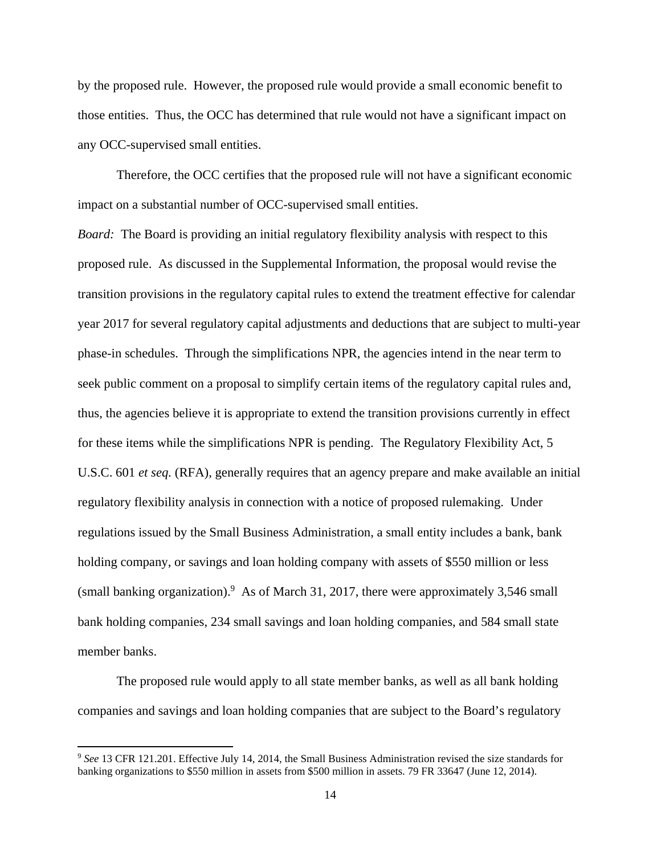by the proposed rule. However, the proposed rule would provide a small economic benefit to those entities. Thus, the OCC has determined that rule would not have a significant impact on any OCC-supervised small entities.

Therefore, the OCC certifies that the proposed rule will not have a significant economic impact on a substantial number of OCC-supervised small entities.

*Board:* The Board is providing an initial regulatory flexibility analysis with respect to this proposed rule. As discussed in the Supplemental Information, the proposal would revise the transition provisions in the regulatory capital rules to extend the treatment effective for calendar year 2017 for several regulatory capital adjustments and deductions that are subject to multi-year phase-in schedules. Through the simplifications NPR, the agencies intend in the near term to seek public comment on a proposal to simplify certain items of the regulatory capital rules and, thus, the agencies believe it is appropriate to extend the transition provisions currently in effect for these items while the simplifications NPR is pending. The Regulatory Flexibility Act, 5 U.S.C. 601 *et seq.* (RFA), generally requires that an agency prepare and make available an initial regulatory flexibility analysis in connection with a notice of proposed rulemaking. Under regulations issued by the Small Business Administration, a small entity includes a bank, bank holding company, or savings and loan holding company with assets of \$550 million or less (small banking organization).<sup>9</sup> As of March 31, 2017, there were approximately 3,546 small bank holding companies, 234 small savings and loan holding companies, and 584 small state member banks.

The proposed rule would apply to all state member banks, as well as all bank holding companies and savings and loan holding companies that are subject to the Board's regulatory

<sup>&</sup>lt;sup>9</sup> See 13 CFR 121.201. Effective July 14, 2014, the Small Business Administration revised the size standards for banking organizations to \$550 million in assets from \$500 million in assets. 79 FR 33647 (June 12, 2014).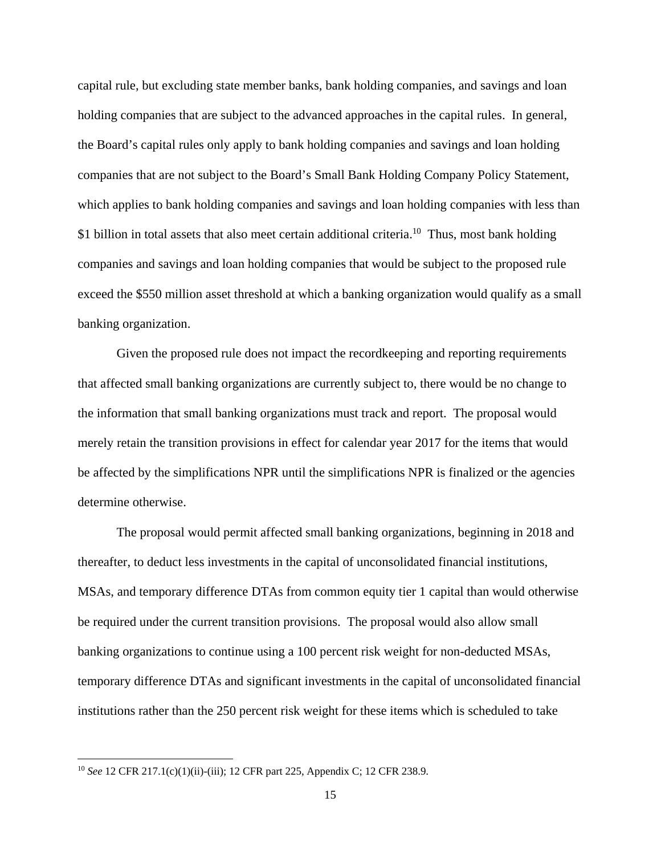capital rule, but excluding state member banks, bank holding companies, and savings and loan holding companies that are subject to the advanced approaches in the capital rules. In general, the Board's capital rules only apply to bank holding companies and savings and loan holding companies that are not subject to the Board's Small Bank Holding Company Policy Statement, which applies to bank holding companies and savings and loan holding companies with less than \$1 billion in total assets that also meet certain additional criteria.<sup>10</sup> Thus, most bank holding companies and savings and loan holding companies that would be subject to the proposed rule exceed the \$550 million asset threshold at which a banking organization would qualify as a small banking organization.

Given the proposed rule does not impact the recordkeeping and reporting requirements that affected small banking organizations are currently subject to, there would be no change to the information that small banking organizations must track and report. The proposal would merely retain the transition provisions in effect for calendar year 2017 for the items that would be affected by the simplifications NPR until the simplifications NPR is finalized or the agencies determine otherwise.

The proposal would permit affected small banking organizations, beginning in 2018 and thereafter, to deduct less investments in the capital of unconsolidated financial institutions, MSAs, and temporary difference DTAs from common equity tier 1 capital than would otherwise be required under the current transition provisions. The proposal would also allow small banking organizations to continue using a 100 percent risk weight for non-deducted MSAs, temporary difference DTAs and significant investments in the capital of unconsolidated financial institutions rather than the 250 percent risk weight for these items which is scheduled to take

<sup>10</sup> *See* 12 CFR 217.1(c)(1)(ii)-(iii); 12 CFR part 225, Appendix C; 12 CFR 238.9.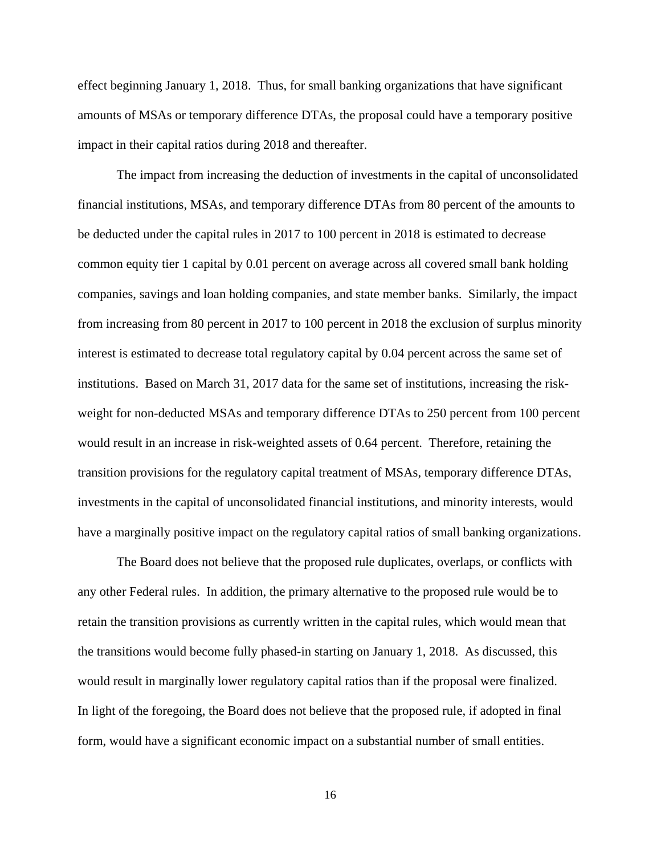effect beginning January 1, 2018. Thus, for small banking organizations that have significant amounts of MSAs or temporary difference DTAs, the proposal could have a temporary positive impact in their capital ratios during 2018 and thereafter.

The impact from increasing the deduction of investments in the capital of unconsolidated financial institutions, MSAs, and temporary difference DTAs from 80 percent of the amounts to be deducted under the capital rules in 2017 to 100 percent in 2018 is estimated to decrease common equity tier 1 capital by 0.01 percent on average across all covered small bank holding companies, savings and loan holding companies, and state member banks. Similarly, the impact from increasing from 80 percent in 2017 to 100 percent in 2018 the exclusion of surplus minority interest is estimated to decrease total regulatory capital by 0.04 percent across the same set of institutions. Based on March 31, 2017 data for the same set of institutions, increasing the riskweight for non-deducted MSAs and temporary difference DTAs to 250 percent from 100 percent would result in an increase in risk-weighted assets of 0.64 percent. Therefore, retaining the transition provisions for the regulatory capital treatment of MSAs, temporary difference DTAs, investments in the capital of unconsolidated financial institutions, and minority interests, would have a marginally positive impact on the regulatory capital ratios of small banking organizations.

The Board does not believe that the proposed rule duplicates, overlaps, or conflicts with any other Federal rules. In addition, the primary alternative to the proposed rule would be to retain the transition provisions as currently written in the capital rules, which would mean that the transitions would become fully phased-in starting on January 1, 2018. As discussed, this would result in marginally lower regulatory capital ratios than if the proposal were finalized. In light of the foregoing, the Board does not believe that the proposed rule, if adopted in final form, would have a significant economic impact on a substantial number of small entities.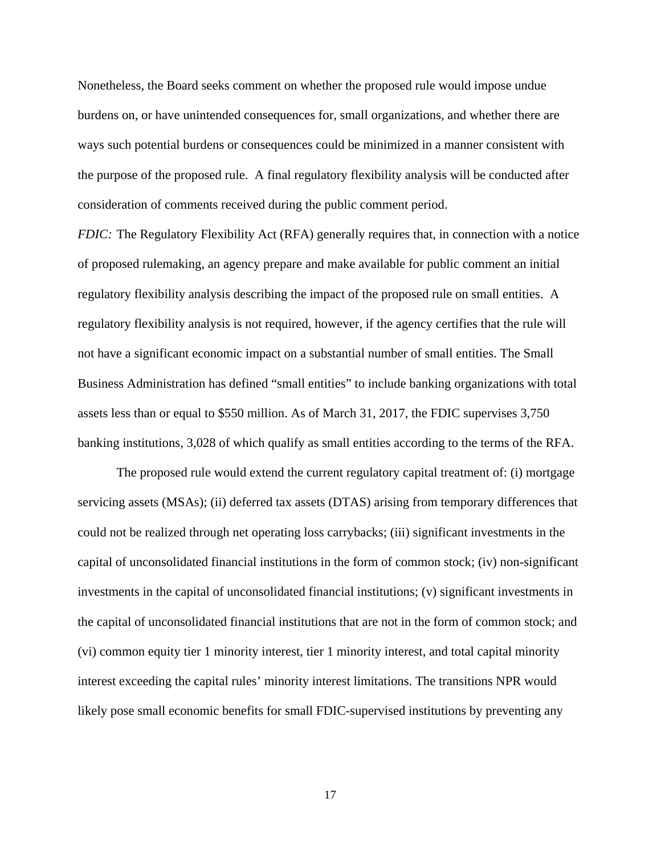Nonetheless, the Board seeks comment on whether the proposed rule would impose undue burdens on, or have unintended consequences for, small organizations, and whether there are ways such potential burdens or consequences could be minimized in a manner consistent with the purpose of the proposed rule. A final regulatory flexibility analysis will be conducted after consideration of comments received during the public comment period.

*FDIC:* The Regulatory Flexibility Act (RFA) generally requires that, in connection with a notice of proposed rulemaking, an agency prepare and make available for public comment an initial regulatory flexibility analysis describing the impact of the proposed rule on small entities. A regulatory flexibility analysis is not required, however, if the agency certifies that the rule will not have a significant economic impact on a substantial number of small entities. The Small Business Administration has defined "small entities" to include banking organizations with total assets less than or equal to \$550 million. As of March 31, 2017, the FDIC supervises 3,750 banking institutions, 3,028 of which qualify as small entities according to the terms of the RFA.

 The proposed rule would extend the current regulatory capital treatment of: (i) mortgage servicing assets (MSAs); (ii) deferred tax assets (DTAS) arising from temporary differences that could not be realized through net operating loss carrybacks; (iii) significant investments in the capital of unconsolidated financial institutions in the form of common stock; (iv) non-significant investments in the capital of unconsolidated financial institutions; (v) significant investments in the capital of unconsolidated financial institutions that are not in the form of common stock; and (vi) common equity tier 1 minority interest, tier 1 minority interest, and total capital minority interest exceeding the capital rules' minority interest limitations. The transitions NPR would likely pose small economic benefits for small FDIC-supervised institutions by preventing any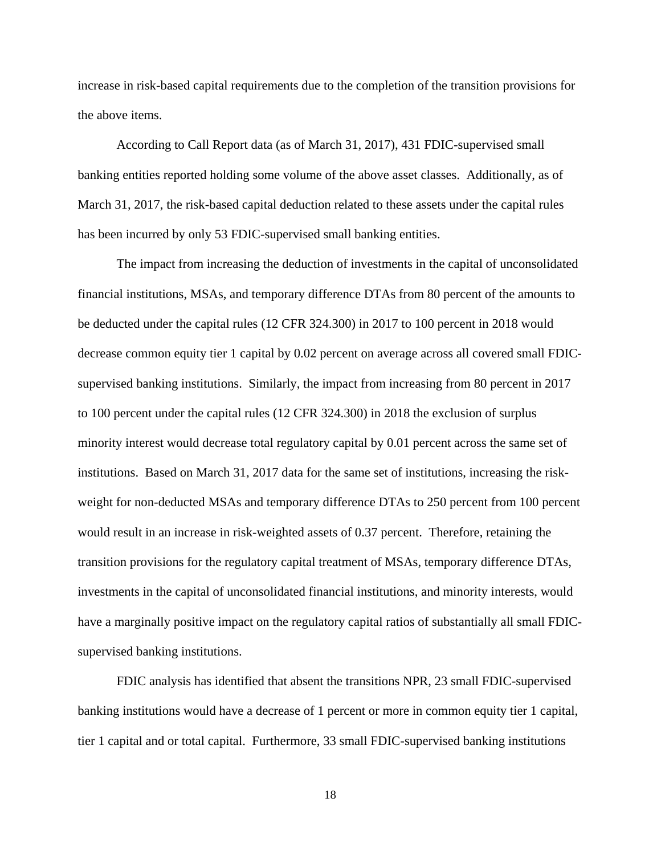increase in risk-based capital requirements due to the completion of the transition provisions for the above items.

 According to Call Report data (as of March 31, 2017), 431 FDIC-supervised small banking entities reported holding some volume of the above asset classes. Additionally, as of March 31, 2017, the risk-based capital deduction related to these assets under the capital rules has been incurred by only 53 FDIC-supervised small banking entities.

The impact from increasing the deduction of investments in the capital of unconsolidated financial institutions, MSAs, and temporary difference DTAs from 80 percent of the amounts to be deducted under the capital rules (12 CFR 324.300) in 2017 to 100 percent in 2018 would decrease common equity tier 1 capital by 0.02 percent on average across all covered small FDICsupervised banking institutions. Similarly, the impact from increasing from 80 percent in 2017 to 100 percent under the capital rules (12 CFR 324.300) in 2018 the exclusion of surplus minority interest would decrease total regulatory capital by 0.01 percent across the same set of institutions. Based on March 31, 2017 data for the same set of institutions, increasing the riskweight for non-deducted MSAs and temporary difference DTAs to 250 percent from 100 percent would result in an increase in risk-weighted assets of 0.37 percent. Therefore, retaining the transition provisions for the regulatory capital treatment of MSAs, temporary difference DTAs, investments in the capital of unconsolidated financial institutions, and minority interests, would have a marginally positive impact on the regulatory capital ratios of substantially all small FDICsupervised banking institutions.

FDIC analysis has identified that absent the transitions NPR, 23 small FDIC-supervised banking institutions would have a decrease of 1 percent or more in common equity tier 1 capital, tier 1 capital and or total capital. Furthermore, 33 small FDIC-supervised banking institutions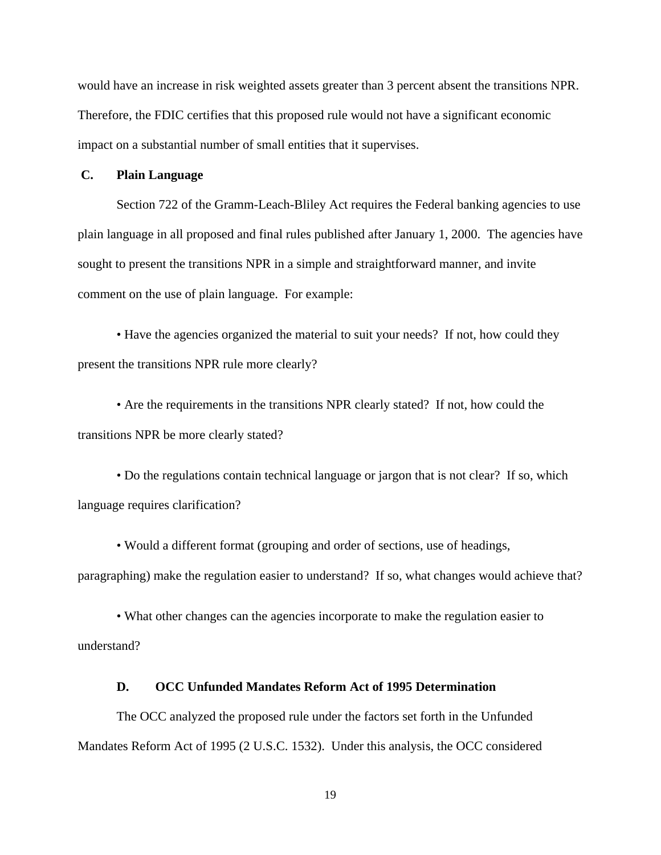would have an increase in risk weighted assets greater than 3 percent absent the transitions NPR. Therefore, the FDIC certifies that this proposed rule would not have a significant economic impact on a substantial number of small entities that it supervises.

#### **C. Plain Language**

Section 722 of the Gramm-Leach-Bliley Act requires the Federal banking agencies to use plain language in all proposed and final rules published after January 1, 2000. The agencies have sought to present the transitions NPR in a simple and straightforward manner, and invite comment on the use of plain language. For example:

• Have the agencies organized the material to suit your needs? If not, how could they present the transitions NPR rule more clearly?

• Are the requirements in the transitions NPR clearly stated? If not, how could the transitions NPR be more clearly stated?

• Do the regulations contain technical language or jargon that is not clear? If so, which language requires clarification?

• Would a different format (grouping and order of sections, use of headings, paragraphing) make the regulation easier to understand? If so, what changes would achieve that?

• What other changes can the agencies incorporate to make the regulation easier to understand?

#### **D. OCC Unfunded Mandates Reform Act of 1995 Determination**

The OCC analyzed the proposed rule under the factors set forth in the Unfunded Mandates Reform Act of 1995 (2 U.S.C. 1532). Under this analysis, the OCC considered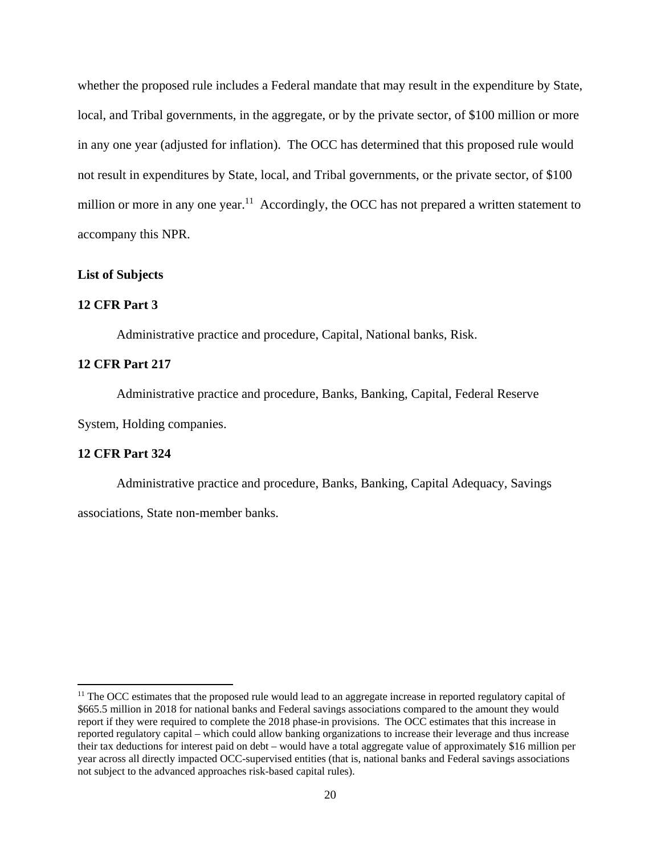whether the proposed rule includes a Federal mandate that may result in the expenditure by State, local, and Tribal governments, in the aggregate, or by the private sector, of \$100 million or more in any one year (adjusted for inflation). The OCC has determined that this proposed rule would not result in expenditures by State, local, and Tribal governments, or the private sector, of \$100 million or more in any one year.<sup>11</sup> Accordingly, the OCC has not prepared a written statement to accompany this NPR.

#### **List of Subjects**

#### **12 CFR Part 3**

Administrative practice and procedure, Capital, National banks, Risk.

## **12 CFR Part 217**

Administrative practice and procedure, Banks, Banking, Capital, Federal Reserve System, Holding companies.

## **12 CFR Part 324**

 Administrative practice and procedure, Banks, Banking, Capital Adequacy, Savings associations, State non-member banks.

<sup>&</sup>lt;sup>11</sup> The OCC estimates that the proposed rule would lead to an aggregate increase in reported regulatory capital of \$665.5 million in 2018 for national banks and Federal savings associations compared to the amount they would report if they were required to complete the 2018 phase-in provisions. The OCC estimates that this increase in reported regulatory capital – which could allow banking organizations to increase their leverage and thus increase their tax deductions for interest paid on debt – would have a total aggregate value of approximately \$16 million per year across all directly impacted OCC-supervised entities (that is, national banks and Federal savings associations not subject to the advanced approaches risk-based capital rules).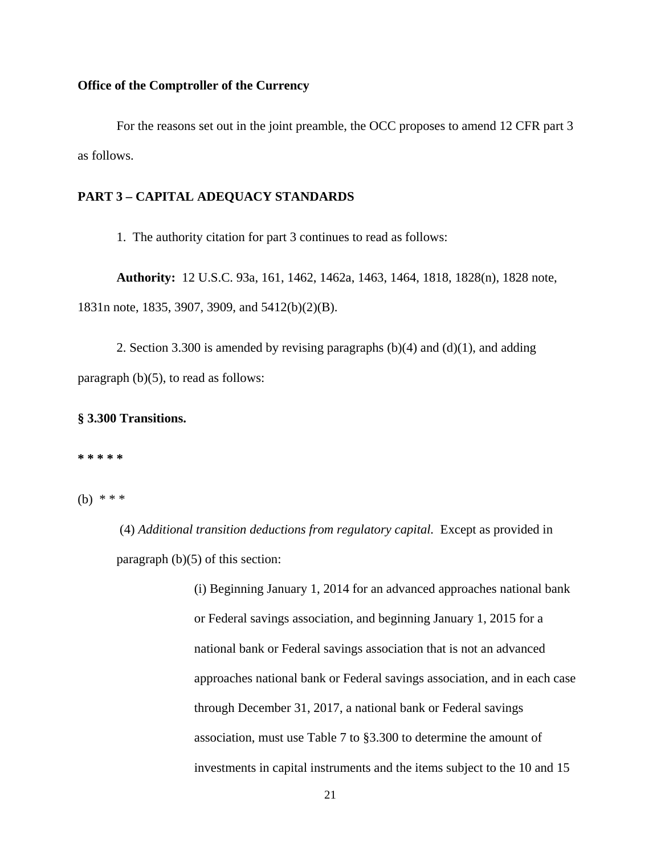#### **Office of the Comptroller of the Currency**

 For the reasons set out in the joint preamble, the OCC proposes to amend 12 CFR part 3 as follows.

## **PART 3 – CAPITAL ADEQUACY STANDARDS**

1. The authority citation for part 3 continues to read as follows:

**Authority:** 12 U.S.C. 93a, 161, 1462, 1462a, 1463, 1464, 1818, 1828(n), 1828 note, 1831n note, 1835, 3907, 3909, and 5412(b)(2)(B).

2. Section 3.300 is amended by revising paragraphs  $(b)(4)$  and  $(d)(1)$ , and adding paragraph (b)(5), to read as follows:

## **§ 3.300 Transitions.**

**\* \* \* \* \*** 

(b) \* \* \*

 (4) *Additional transition deductions from regulatory capital.* Except as provided in paragraph (b)(5) of this section:

> (i) Beginning January 1, 2014 for an advanced approaches national bank or Federal savings association, and beginning January 1, 2015 for a national bank or Federal savings association that is not an advanced approaches national bank or Federal savings association, and in each case through December 31, 2017, a national bank or Federal savings association, must use Table 7 to §3.300 to determine the amount of investments in capital instruments and the items subject to the 10 and 15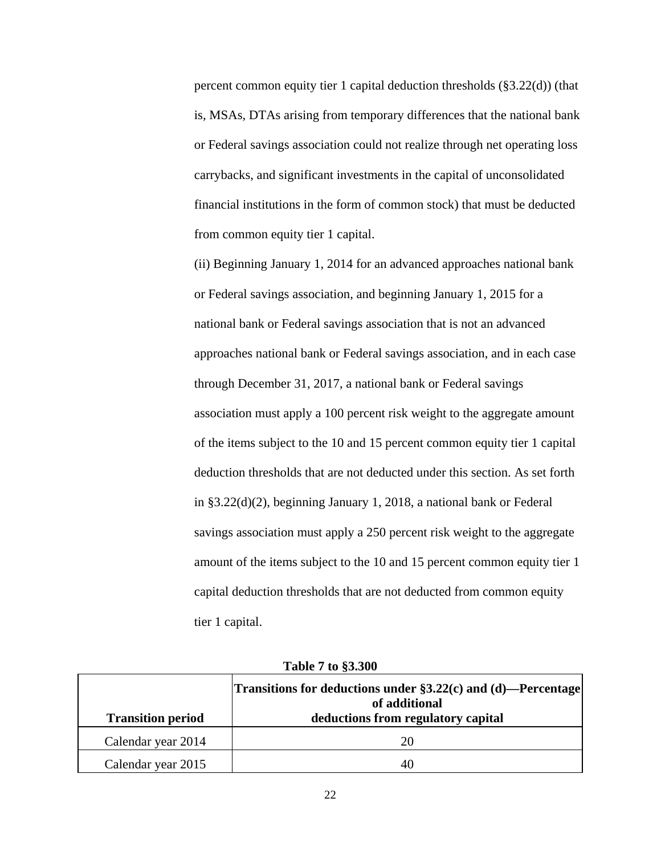percent common equity tier 1 capital deduction thresholds (§3.22(d)) (that is, MSAs, DTAs arising from temporary differences that the national bank or Federal savings association could not realize through net operating loss carrybacks, and significant investments in the capital of unconsolidated financial institutions in the form of common stock) that must be deducted from common equity tier 1 capital.

(ii) Beginning January 1, 2014 for an advanced approaches national bank or Federal savings association, and beginning January 1, 2015 for a national bank or Federal savings association that is not an advanced approaches national bank or Federal savings association, and in each case through December 31, 2017, a national bank or Federal savings association must apply a 100 percent risk weight to the aggregate amount of the items subject to the 10 and 15 percent common equity tier 1 capital deduction thresholds that are not deducted under this section. As set forth in §3.22(d)(2), beginning January 1, 2018, a national bank or Federal savings association must apply a 250 percent risk weight to the aggregate amount of the items subject to the 10 and 15 percent common equity tier 1 capital deduction thresholds that are not deducted from common equity tier 1 capital.

| <b>Transition period</b> | Transitions for deductions under §3.22(c) and (d)—Percentage<br>of additional<br>deductions from regulatory capital |
|--------------------------|---------------------------------------------------------------------------------------------------------------------|
| Calendar year 2014       | 20                                                                                                                  |
| Calendar year 2015       | 40                                                                                                                  |

**Table 7 to §3.300**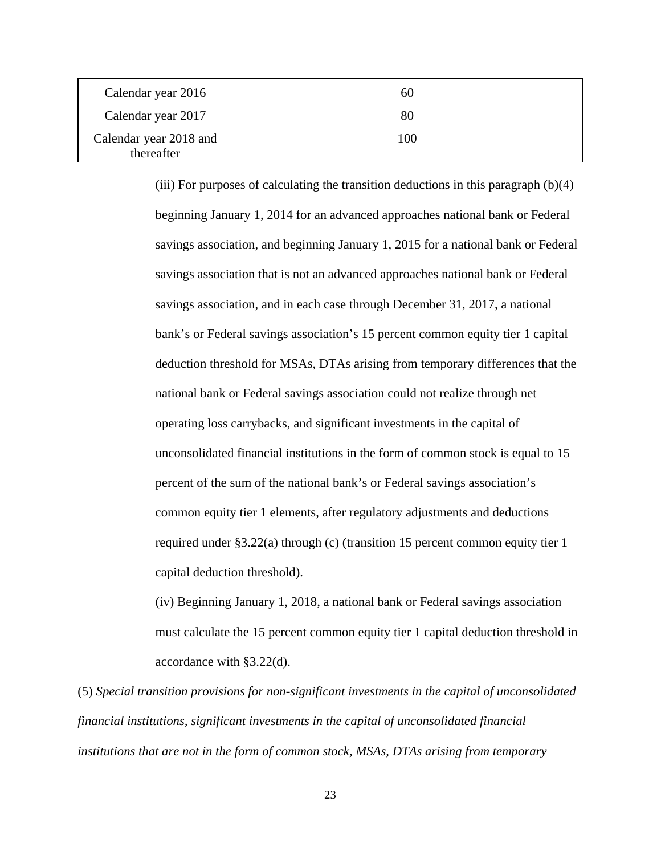| Calendar year 2016                   | 60  |
|--------------------------------------|-----|
| Calendar year 2017                   | 80  |
| Calendar year 2018 and<br>thereafter | 100 |

(iii) For purposes of calculating the transition deductions in this paragraph (b)(4) beginning January 1, 2014 for an advanced approaches national bank or Federal savings association, and beginning January 1, 2015 for a national bank or Federal savings association that is not an advanced approaches national bank or Federal savings association, and in each case through December 31, 2017, a national bank's or Federal savings association's 15 percent common equity tier 1 capital deduction threshold for MSAs, DTAs arising from temporary differences that the national bank or Federal savings association could not realize through net operating loss carrybacks, and significant investments in the capital of unconsolidated financial institutions in the form of common stock is equal to 15 percent of the sum of the national bank's or Federal savings association's common equity tier 1 elements, after regulatory adjustments and deductions required under §3.22(a) through (c) (transition 15 percent common equity tier 1 capital deduction threshold).

(iv) Beginning January 1, 2018, a national bank or Federal savings association must calculate the 15 percent common equity tier 1 capital deduction threshold in accordance with §3.22(d).

(5) *Special transition provisions for non-significant investments in the capital of unconsolidated financial institutions, significant investments in the capital of unconsolidated financial institutions that are not in the form of common stock, MSAs, DTAs arising from temporary*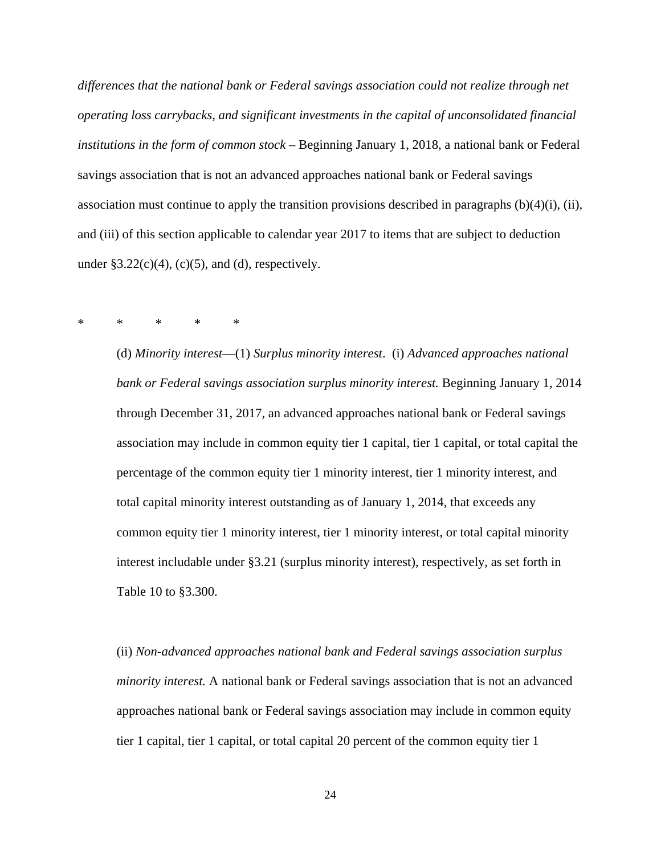*differences that the national bank or Federal savings association could not realize through net operating loss carrybacks, and significant investments in the capital of unconsolidated financial institutions in the form of common stock –* Beginning January 1, 2018, a national bank or Federal savings association that is not an advanced approaches national bank or Federal savings association must continue to apply the transition provisions described in paragraphs  $(b)(4)(i)$ ,  $(ii)$ , and (iii) of this section applicable to calendar year 2017 to items that are subject to deduction under  $\S 3.22(c)(4)$ , (c)(5), and (d), respectively.

### \* \* \* \* \*

(d) *Minority interest*—(1) *Surplus minority interest*. (i) *Advanced approaches national bank or Federal savings association surplus minority interest.* Beginning January 1, 2014 through December 31, 2017, an advanced approaches national bank or Federal savings association may include in common equity tier 1 capital, tier 1 capital, or total capital the percentage of the common equity tier 1 minority interest, tier 1 minority interest, and total capital minority interest outstanding as of January 1, 2014, that exceeds any common equity tier 1 minority interest, tier 1 minority interest, or total capital minority interest includable under §3.21 (surplus minority interest), respectively, as set forth in Table 10 to §3.300.

(ii) *Non-advanced approaches national bank and Federal savings association surplus minority interest.* A national bank or Federal savings association that is not an advanced approaches national bank or Federal savings association may include in common equity tier 1 capital, tier 1 capital, or total capital 20 percent of the common equity tier 1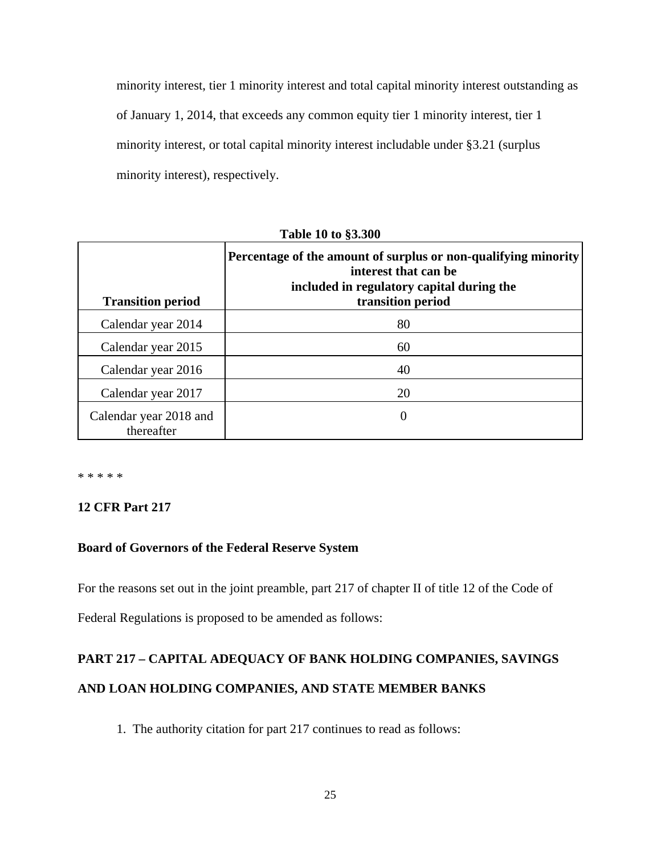minority interest, tier 1 minority interest and total capital minority interest outstanding as of January 1, 2014, that exceeds any common equity tier 1 minority interest, tier 1 minority interest, or total capital minority interest includable under §3.21 (surplus minority interest), respectively.

| <b>Transition period</b>             | Percentage of the amount of surplus or non-qualifying minority<br>interest that can be<br>included in regulatory capital during the<br>transition period |
|--------------------------------------|----------------------------------------------------------------------------------------------------------------------------------------------------------|
| Calendar year 2014                   | 80                                                                                                                                                       |
| Calendar year 2015                   | 60                                                                                                                                                       |
| Calendar year 2016                   | 40                                                                                                                                                       |
| Calendar year 2017                   | 20                                                                                                                                                       |
| Calendar year 2018 and<br>thereafter | 0                                                                                                                                                        |

**Table 10 to §3.300** 

\* \* \* \* \*

# **12 CFR Part 217**

## **Board of Governors of the Federal Reserve System**

For the reasons set out in the joint preamble, part 217 of chapter II of title 12 of the Code of

Federal Regulations is proposed to be amended as follows:

# **PART 217 – CAPITAL ADEQUACY OF BANK HOLDING COMPANIES, SAVINGS AND LOAN HOLDING COMPANIES, AND STATE MEMBER BANKS**

1. The authority citation for part 217 continues to read as follows: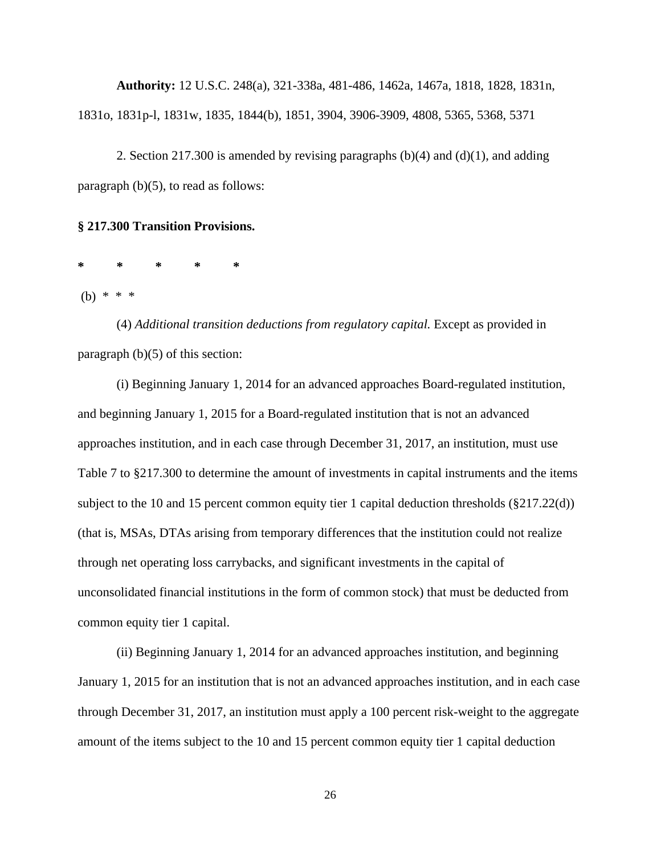**Authority:** 12 U.S.C. 248(a), 321-338a, 481-486, 1462a, 1467a, 1818, 1828, 1831n, 1831o, 1831p-l, 1831w, 1835, 1844(b), 1851, 3904, 3906-3909, 4808, 5365, 5368, 5371

2. Section 217.300 is amended by revising paragraphs  $(b)(4)$  and  $(d)(1)$ , and adding paragraph (b)(5), to read as follows:

**§ 217.300 Transition Provisions.** 

**\* \* \* \* \*** 

(b) \* \* \*

(4) *Additional transition deductions from regulatory capital.* Except as provided in paragraph (b)(5) of this section:

(i) Beginning January 1, 2014 for an advanced approaches Board-regulated institution, and beginning January 1, 2015 for a Board-regulated institution that is not an advanced approaches institution, and in each case through December 31, 2017, an institution, must use Table 7 to §217.300 to determine the amount of investments in capital instruments and the items subject to the 10 and 15 percent common equity tier 1 capital deduction thresholds (§217.22(d)) (that is, MSAs, DTAs arising from temporary differences that the institution could not realize through net operating loss carrybacks, and significant investments in the capital of unconsolidated financial institutions in the form of common stock) that must be deducted from common equity tier 1 capital.

(ii) Beginning January 1, 2014 for an advanced approaches institution, and beginning January 1, 2015 for an institution that is not an advanced approaches institution, and in each case through December 31, 2017, an institution must apply a 100 percent risk-weight to the aggregate amount of the items subject to the 10 and 15 percent common equity tier 1 capital deduction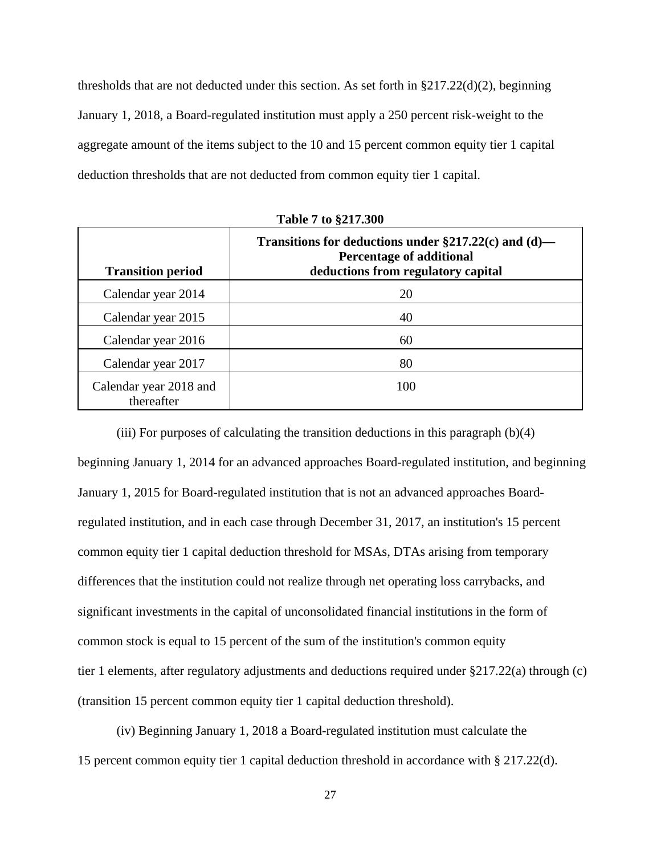thresholds that are not deducted under this section. As set forth in §217.22(d)(2), beginning January 1, 2018, a Board-regulated institution must apply a 250 percent risk-weight to the aggregate amount of the items subject to the 10 and 15 percent common equity tier 1 capital deduction thresholds that are not deducted from common equity tier 1 capital.

| <b>Transition period</b>             | Transitions for deductions under $\S217.22(c)$ and (d)—<br><b>Percentage of additional</b><br>deductions from regulatory capital |
|--------------------------------------|----------------------------------------------------------------------------------------------------------------------------------|
| Calendar year 2014                   | 20                                                                                                                               |
| Calendar year 2015                   | 40                                                                                                                               |
| Calendar year 2016                   | 60                                                                                                                               |
| Calendar year 2017                   | 80                                                                                                                               |
| Calendar year 2018 and<br>thereafter | 100                                                                                                                              |

**Table 7 to §217.300** 

(iii) For purposes of calculating the transition deductions in this paragraph (b)(4) beginning January 1, 2014 for an advanced approaches Board-regulated institution, and beginning January 1, 2015 for Board-regulated institution that is not an advanced approaches Boardregulated institution, and in each case through December 31, 2017, an institution's 15 percent common equity tier 1 capital deduction threshold for MSAs, DTAs arising from temporary differences that the institution could not realize through net operating loss carrybacks, and significant investments in the capital of unconsolidated financial institutions in the form of common stock is equal to 15 percent of the sum of the institution's common equity tier 1 elements, after regulatory adjustments and deductions required under §217.22(a) through (c) (transition 15 percent common equity tier 1 capital deduction threshold).

(iv) Beginning January 1, 2018 a Board-regulated institution must calculate the 15 percent common equity tier 1 capital deduction threshold in accordance with § 217.22(d).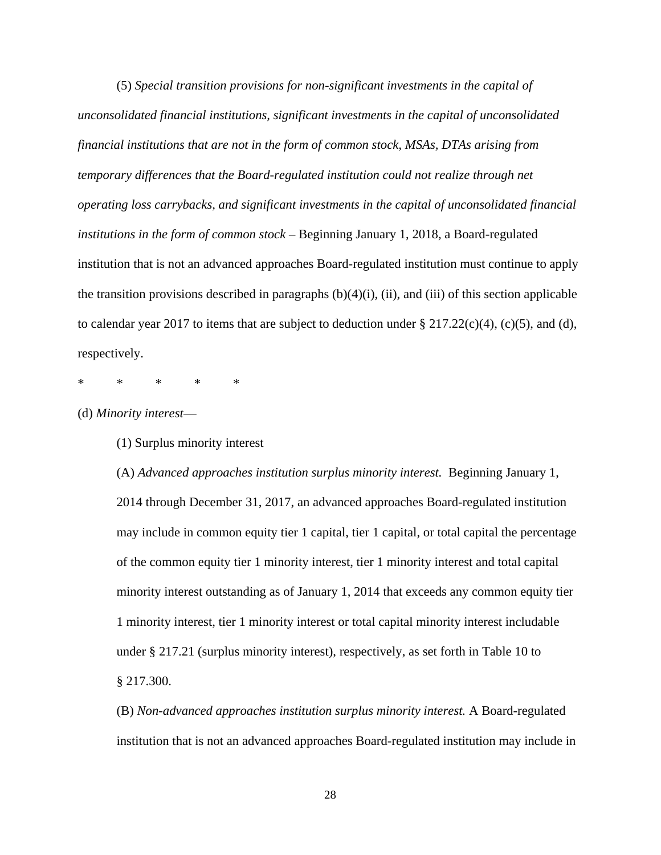(5) *Special transition provisions for non-significant investments in the capital of unconsolidated financial institutions, significant investments in the capital of unconsolidated financial institutions that are not in the form of common stock, MSAs, DTAs arising from temporary differences that the Board-regulated institution could not realize through net operating loss carrybacks, and significant investments in the capital of unconsolidated financial institutions in the form of common stock –* Beginning January 1, 2018, a Board-regulated institution that is not an advanced approaches Board-regulated institution must continue to apply the transition provisions described in paragraphs  $(b)(4)(i)$ ,  $(ii)$ , and  $(iii)$  of this section applicable to calendar year 2017 to items that are subject to deduction under  $\S 217.22(c)(4)$ , (c)(5), and (d), respectively.

\* \* \* \* \*

(d) *Minority interest*—

(1) Surplus minority interest

(A) *Advanced approaches institution surplus minority interest.* Beginning January 1, 2014 through December 31, 2017, an advanced approaches Board-regulated institution may include in common equity tier 1 capital, tier 1 capital, or total capital the percentage of the common equity tier 1 minority interest, tier 1 minority interest and total capital minority interest outstanding as of January 1, 2014 that exceeds any common equity tier 1 minority interest, tier 1 minority interest or total capital minority interest includable under § 217.21 (surplus minority interest), respectively, as set forth in Table 10 to § 217.300.

(B) *Non-advanced approaches institution surplus minority interest.* A Board-regulated institution that is not an advanced approaches Board-regulated institution may include in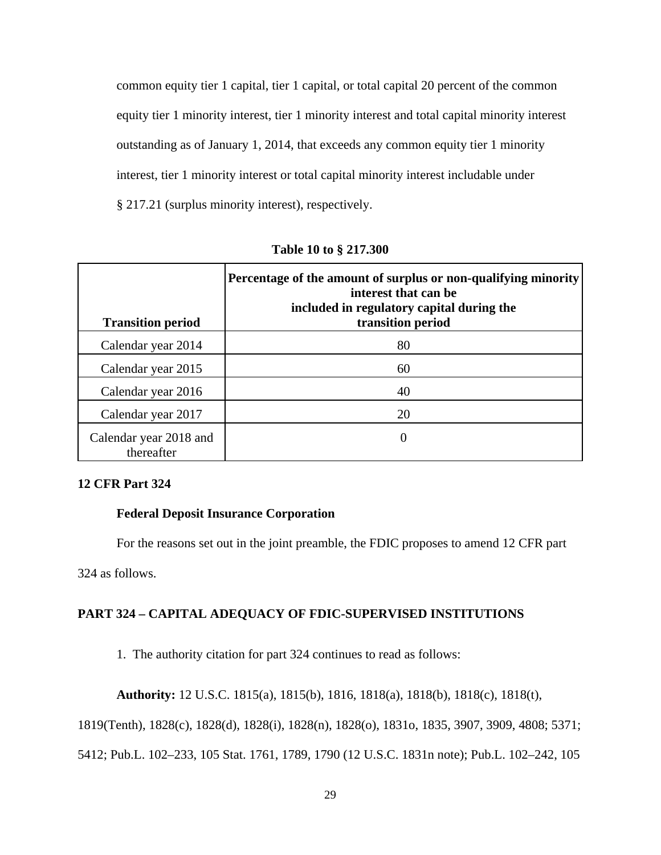common equity tier 1 capital, tier 1 capital, or total capital 20 percent of the common equity tier 1 minority interest, tier 1 minority interest and total capital minority interest outstanding as of January 1, 2014, that exceeds any common equity tier 1 minority interest, tier 1 minority interest or total capital minority interest includable under § 217.21 (surplus minority interest), respectively.

| <b>Transition period</b>             | Percentage of the amount of surplus or non-qualifying minority<br>interest that can be<br>included in regulatory capital during the<br>transition period |
|--------------------------------------|----------------------------------------------------------------------------------------------------------------------------------------------------------|
|                                      |                                                                                                                                                          |
| Calendar year 2014                   | 80                                                                                                                                                       |
| Calendar year 2015                   | 60                                                                                                                                                       |
| Calendar year 2016                   | 40                                                                                                                                                       |
| Calendar year 2017                   | 20                                                                                                                                                       |
| Calendar year 2018 and<br>thereafter | $\theta$                                                                                                                                                 |

**Table 10 to § 217.300** 

## **12 CFR Part 324**

#### **Federal Deposit Insurance Corporation**

For the reasons set out in the joint preamble, the FDIC proposes to amend 12 CFR part

324 as follows.

## **PART 324 – CAPITAL ADEQUACY OF FDIC-SUPERVISED INSTITUTIONS**

1. The authority citation for part 324 continues to read as follows:

**Authority:** 12 U.S.C. 1815(a), 1815(b), 1816, 1818(a), 1818(b), 1818(c), 1818(t),

1819(Tenth), 1828(c), 1828(d), 1828(i), 1828(n), 1828(o), 1831o, 1835, 3907, 3909, 4808; 5371;

5412; Pub.L. 102–233, 105 Stat. 1761, 1789, 1790 (12 U.S.C. 1831n note); Pub.L. 102–242, 105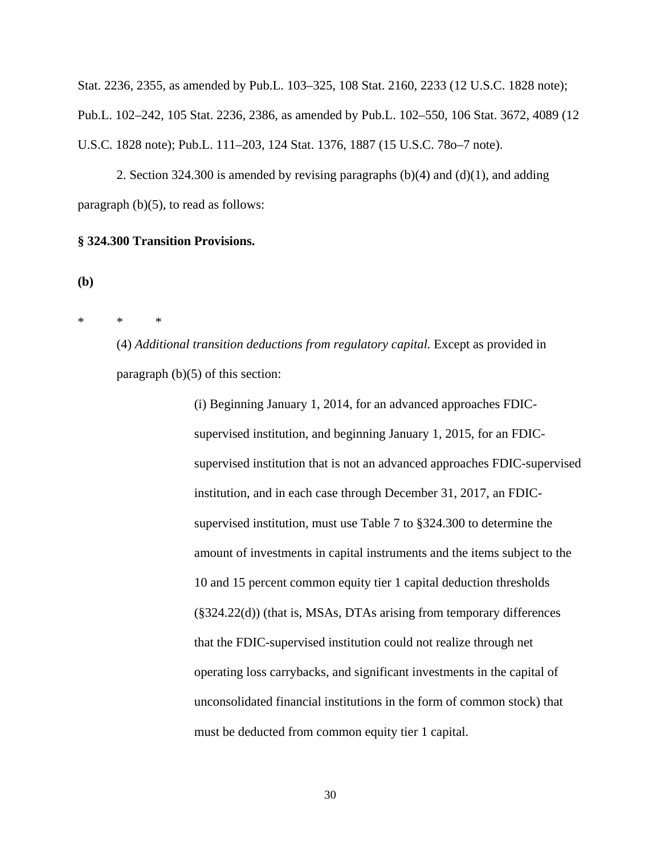Stat. 2236, 2355, as amended by Pub.L. 103–325, 108 Stat. 2160, 2233 (12 U.S.C. 1828 note); Pub.L. 102–242, 105 Stat. 2236, 2386, as amended by Pub.L. 102–550, 106 Stat. 3672, 4089 (12 U.S.C. 1828 note); Pub.L. 111–203, 124 Stat. 1376, 1887 (15 U.S.C. 78o–7 note).

 2. Section 324.300 is amended by revising paragraphs (b)(4) and (d)(1), and adding paragraph (b)(5), to read as follows:

#### **§ 324.300 Transition Provisions.**

**(b)** 

\* \* \*

(4) *Additional transition deductions from regulatory capital.* Except as provided in paragraph  $(b)(5)$  of this section:

> (i) Beginning January 1, 2014, for an advanced approaches FDICsupervised institution, and beginning January 1, 2015, for an FDICsupervised institution that is not an advanced approaches FDIC-supervised institution, and in each case through December 31, 2017, an FDICsupervised institution, must use Table 7 to §324.300 to determine the amount of investments in capital instruments and the items subject to the 10 and 15 percent common equity tier 1 capital deduction thresholds (§324.22(d)) (that is, MSAs, DTAs arising from temporary differences that the FDIC-supervised institution could not realize through net operating loss carrybacks, and significant investments in the capital of unconsolidated financial institutions in the form of common stock) that must be deducted from common equity tier 1 capital.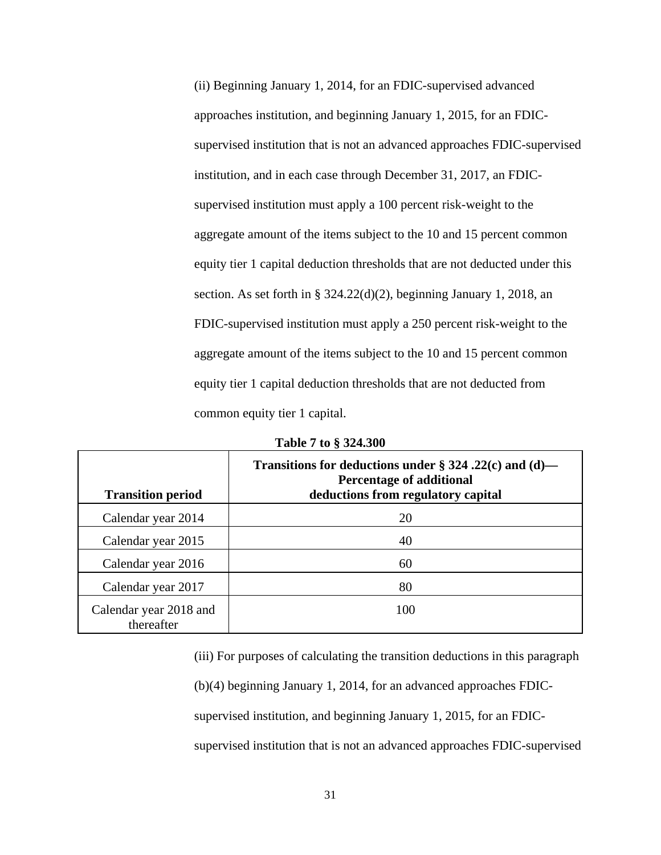(ii) Beginning January 1, 2014, for an FDIC-supervised advanced approaches institution, and beginning January 1, 2015, for an FDICsupervised institution that is not an advanced approaches FDIC-supervised institution, and in each case through December 31, 2017, an FDICsupervised institution must apply a 100 percent risk-weight to the aggregate amount of the items subject to the 10 and 15 percent common equity tier 1 capital deduction thresholds that are not deducted under this section. As set forth in § 324.22(d)(2), beginning January 1, 2018, an FDIC-supervised institution must apply a 250 percent risk-weight to the aggregate amount of the items subject to the 10 and 15 percent common equity tier 1 capital deduction thresholds that are not deducted from common equity tier 1 capital.

| <b>Transition period</b>             | Transitions for deductions under § 324.22(c) and (d)—<br><b>Percentage of additional</b><br>deductions from regulatory capital |
|--------------------------------------|--------------------------------------------------------------------------------------------------------------------------------|
| Calendar year 2014                   | 20                                                                                                                             |
| Calendar year 2015                   | 40                                                                                                                             |
| Calendar year 2016                   | 60                                                                                                                             |
| Calendar year 2017                   | 80                                                                                                                             |
| Calendar year 2018 and<br>thereafter | 100                                                                                                                            |

**Table 7 to § 324.300** 

(iii) For purposes of calculating the transition deductions in this paragraph (b)(4) beginning January 1, 2014, for an advanced approaches FDICsupervised institution, and beginning January 1, 2015, for an FDICsupervised institution that is not an advanced approaches FDIC-supervised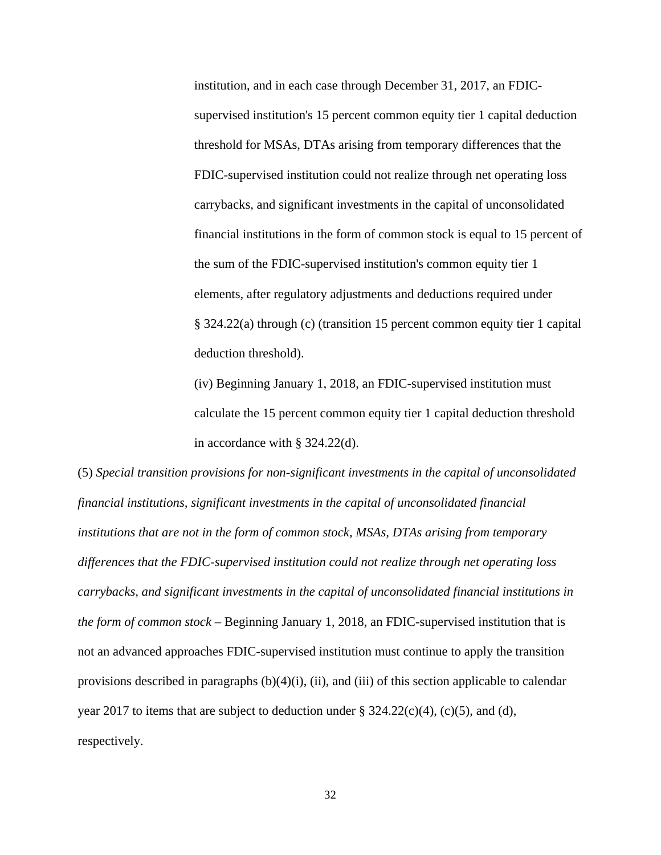institution, and in each case through December 31, 2017, an FDICsupervised institution's 15 percent common equity tier 1 capital deduction threshold for MSAs, DTAs arising from temporary differences that the FDIC-supervised institution could not realize through net operating loss carrybacks, and significant investments in the capital of unconsolidated financial institutions in the form of common stock is equal to 15 percent of the sum of the FDIC-supervised institution's common equity tier 1 elements, after regulatory adjustments and deductions required under § 324.22(a) through (c) (transition 15 percent common equity tier 1 capital deduction threshold).

(iv) Beginning January 1, 2018, an FDIC-supervised institution must calculate the 15 percent common equity tier 1 capital deduction threshold in accordance with § 324.22(d).

(5) *Special transition provisions for non-significant investments in the capital of unconsolidated financial institutions, significant investments in the capital of unconsolidated financial institutions that are not in the form of common stock, MSAs, DTAs arising from temporary differences that the FDIC-supervised institution could not realize through net operating loss carrybacks, and significant investments in the capital of unconsolidated financial institutions in the form of common stock –* Beginning January 1, 2018, an FDIC-supervised institution that is not an advanced approaches FDIC-supervised institution must continue to apply the transition provisions described in paragraphs  $(b)(4)(i)$ ,  $(ii)$ , and  $(iii)$  of this section applicable to calendar year 2017 to items that are subject to deduction under  $\S$  324.22(c)(4), (c)(5), and (d), respectively.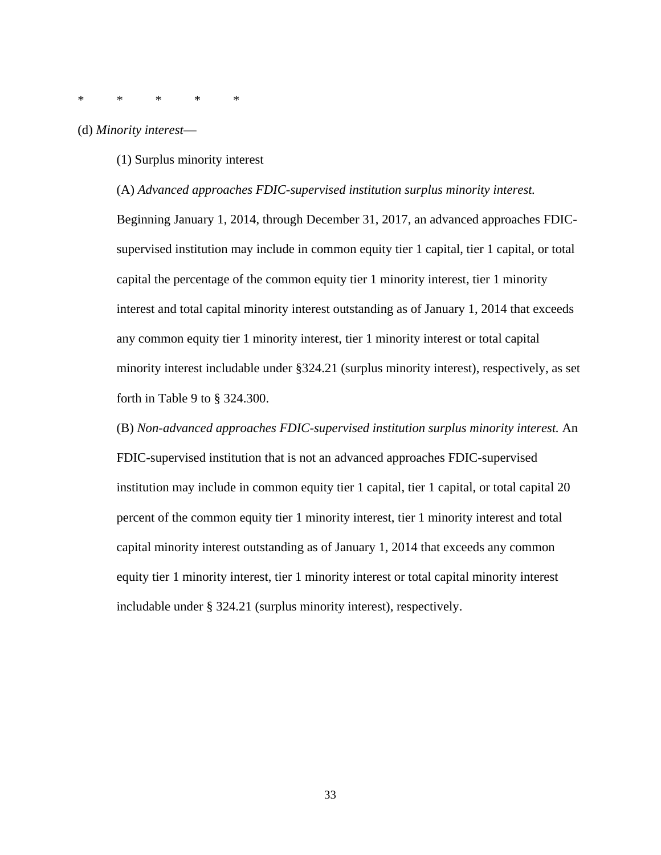\* \* \* \* \*

(d) *Minority interest*—

(1) Surplus minority interest

(A) *Advanced approaches FDIC-supervised institution surplus minority interest.*

Beginning January 1, 2014, through December 31, 2017, an advanced approaches FDICsupervised institution may include in common equity tier 1 capital, tier 1 capital, or total capital the percentage of the common equity tier 1 minority interest, tier 1 minority interest and total capital minority interest outstanding as of January 1, 2014 that exceeds any common equity tier 1 minority interest, tier 1 minority interest or total capital minority interest includable under §324.21 (surplus minority interest), respectively, as set forth in Table 9 to § 324.300.

(B) *Non-advanced approaches FDIC-supervised institution surplus minority interest.* An FDIC-supervised institution that is not an advanced approaches FDIC-supervised institution may include in common equity tier 1 capital, tier 1 capital, or total capital 20 percent of the common equity tier 1 minority interest, tier 1 minority interest and total capital minority interest outstanding as of January 1, 2014 that exceeds any common equity tier 1 minority interest, tier 1 minority interest or total capital minority interest includable under § 324.21 (surplus minority interest), respectively.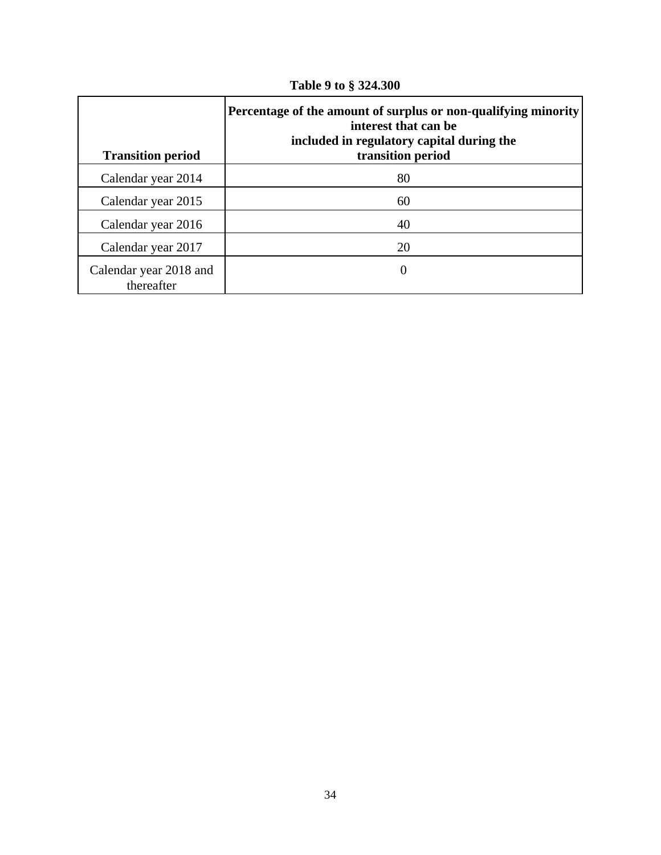| <b>Transition period</b>             | Percentage of the amount of surplus or non-qualifying minority<br>interest that can be<br>included in regulatory capital during the<br>transition period |
|--------------------------------------|----------------------------------------------------------------------------------------------------------------------------------------------------------|
| Calendar year 2014                   | 80                                                                                                                                                       |
| Calendar year 2015                   | 60                                                                                                                                                       |
| Calendar year 2016                   | 40                                                                                                                                                       |
| Calendar year 2017                   | 20                                                                                                                                                       |
| Calendar year 2018 and<br>thereafter | 0                                                                                                                                                        |

**Table 9 to § 324.300**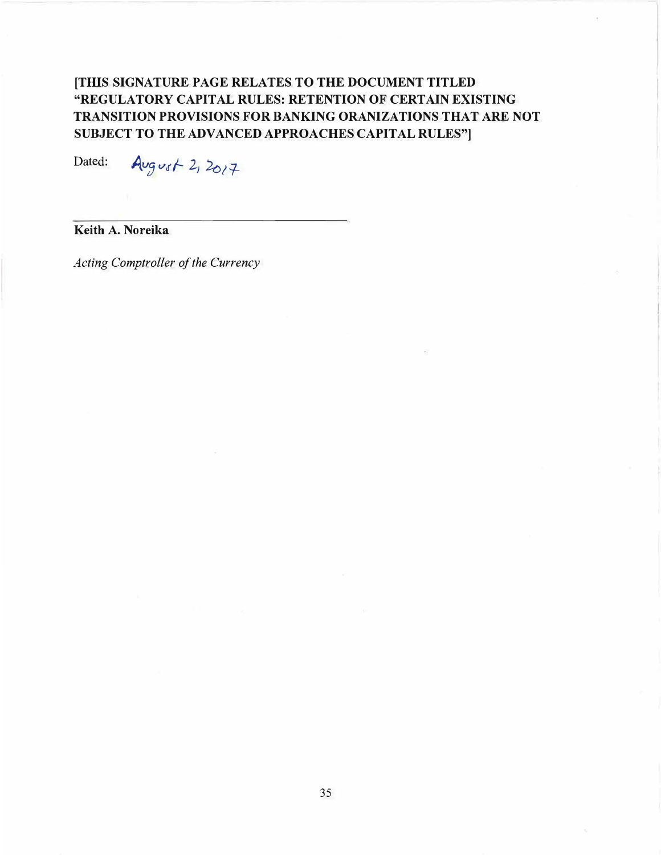# **[THIS SIGNATURE PAGE RELATES TO THE DOCUMENT TITLED "REGULATORY CAPITAL RULES: RETENTION OF CERTAIN EXISTING TRANSITION PROVISIONS FOR BANKING ORANIZATIONS THAT ARE NOT SUBJECT TO THE ADVANCED APPROACHES CAPITAL RULES"]**

Dated:  $Avgv$ st 2,  $2017$ 

**Keith A. Noreika** 

*Acting Comptroller of the Currency*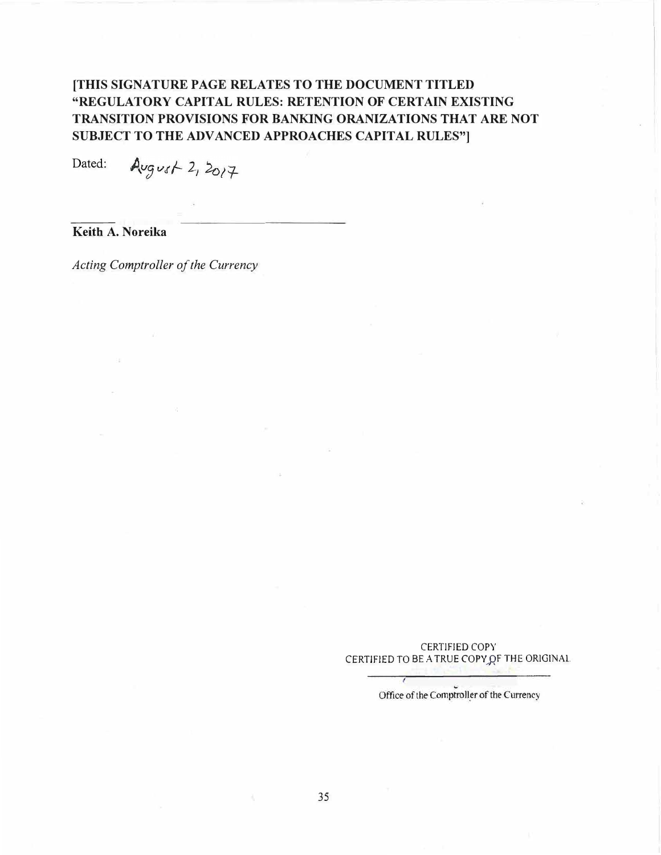# **[THIS SIGNATURE PAGE RELATES TO THE DOCUMENT TITLED "REGULATORY CAPITAL RULES: RETENTION OF CERTAIN EXISTING TRANSITION PROVISIONS FOR BANKING ORANIZATIONS THAT ARE NOT SUBJECT TO THE ADVANCED APPROACHES CAPITAL RULES"**

August  $2, 2017$ Dated:

**Keith A. Noreika** 

*Acting Comptroller of the Currency* 

CERTJFIED COPY CERTIFIED TO BE A TRUE COPY OF THE ORIGINAL.

Office of the Comptroller of the Currency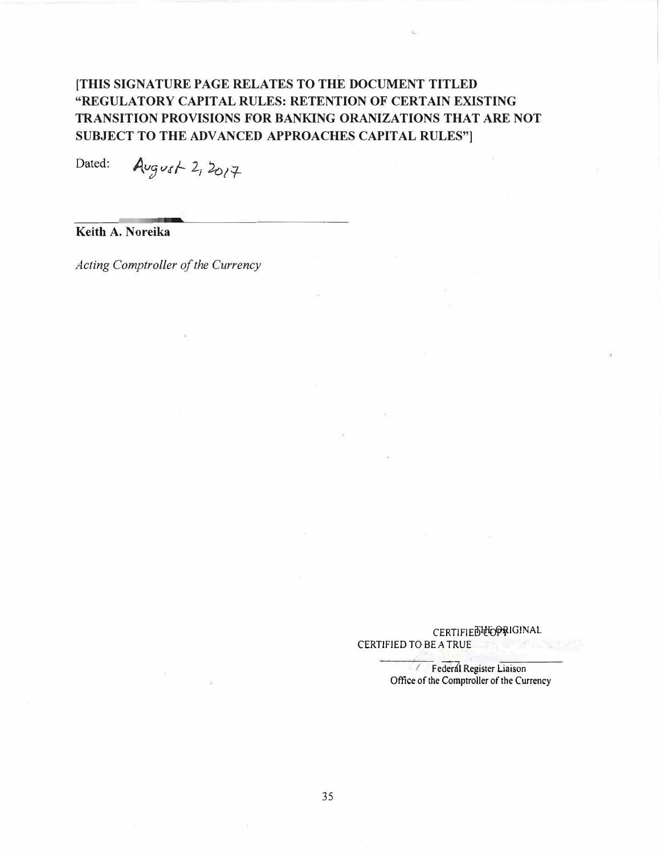# **[THIS SIGNATURE PAGE RELATES TO THE DOCUMENT TITLED "REGULATORY CAPITAL RULES: RETENTION OF CERTAIN EXISTING TRANSITION PROVISIONS FOR BANKING ORANIZATIONS THAT ARE NOT SUBJECT TO THE ADVANCED APPROACHES CAPITAL RULES"**

 $Avgust 2, 2017$ Dated:

**Keith A. Noreika** 

*Acting Comptroller of the Currency* 

**CERTIFIED COPRIGINAL** CERTIFIED TO BE A TRUE

> */* **Federal Register Liaison** Office of the Comptroller of the Currency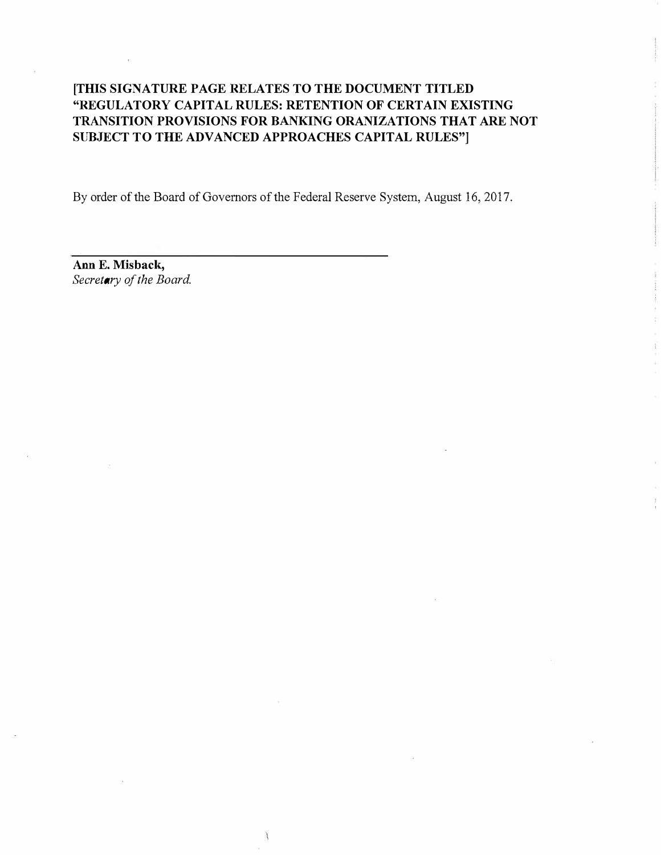# **[THIS SIGNATURE PAGE RELATES TO THE DOCUMENT TITLED "REGULATORY CAPITAL RULES: RETENTION OF CERTAIN EXISTING TRANSITION PROVISIONS FOR BANKING ORANIZATIONS THAT ARE NOT SUBJECT TO THE ADVANCED APPROACHES CAPITAL RULES"]**

By order of the Board of Governors of the Federal Reserve System, August 16, 2017.

**Ann E. Misback,**  Secretary of the Board.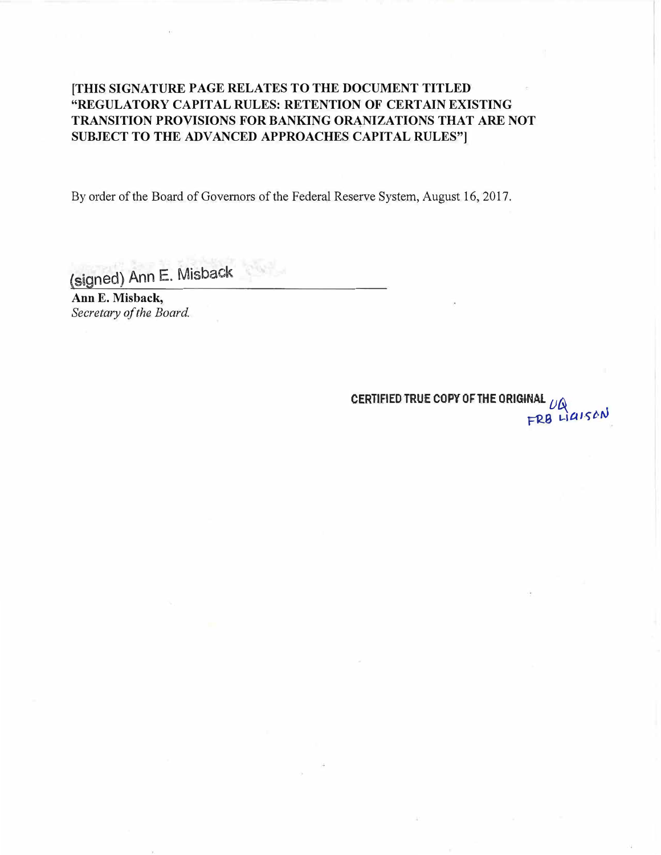# **[THIS SIGNATURE PAGE RELATES TO THE DOCUMENT TITLED "REGULATORY CAPITAL RULES: RETENTION OF CERTAIN EXISTING TRANSITION PROVISIONS FOR BANKING ORANIZATIONS THAT ARE NOT SUBJECT TO THE ADVANCED APPROACHES CAPITAL RULES"]**

By order of the Board of Governors of the Federal Reserve System, August 16, 2017.

(signed) Ann E. Misback

**Ann E. Misback, Secretary of the Board.** 

> CERTIFIED TRUE COPY OF THE ORIGINAL  $\mu$ & **FRB** LIGISAN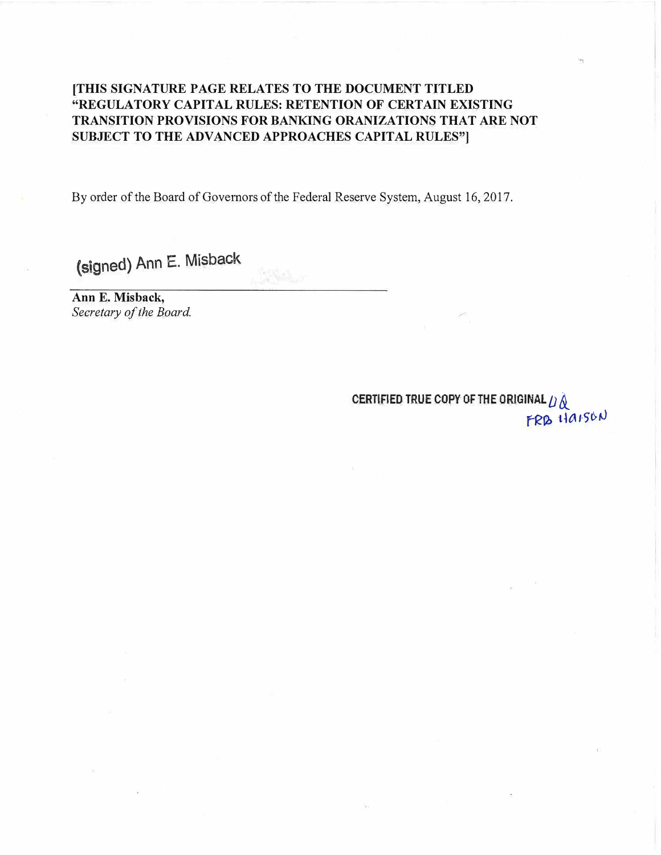# **[THIS SIGNATURE PAGE RELATES TO THE DOCUMENT TITLED "REGULATORY CAPITAL RULES: RETENTION OF CERTAIN EXISTING TRANSITION PROVISIONS FOR BANKING ORANIZATIONS THAT ARE NOT SUBJECT TO THE ADVANCED APPROACHES CAPITAL RULES"**

By order of the Board of Governors of the Federal Reserve System, August 16, 2017.

(signed) Ann E. Misback

**Ann E. Misback,**  *Secretary of the Board.* 

> **CERTIFIED TRUE COPY OF THE ORIGINAL** *D* &\_ FRB HAISON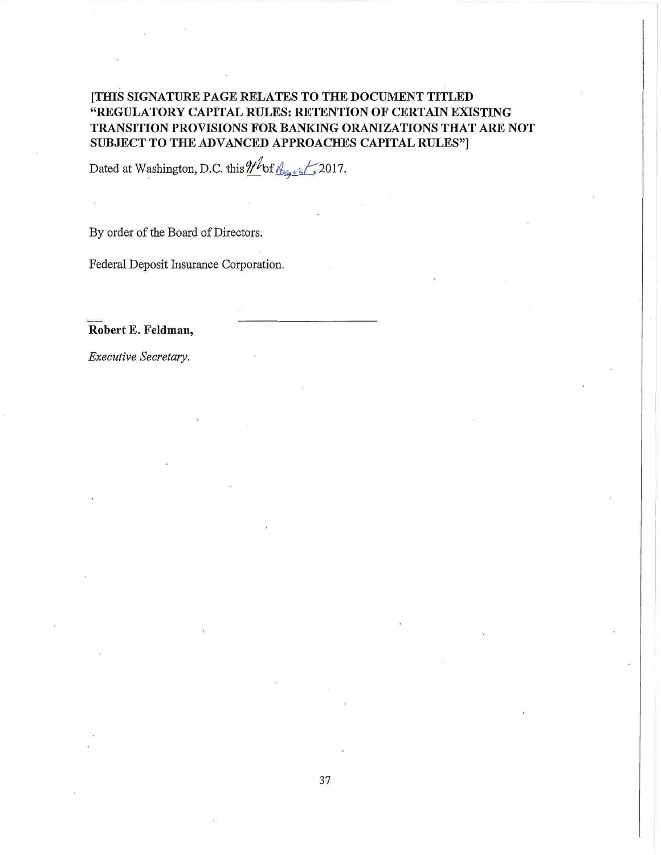# **{TIDS SIGNATURE PAGE RELATES TO THE DOCUMENT TITLED "REGULATORY CAPITAL RULES: RETENTION OF CERTAIN EXISTING TRANSITION PROVISIONS FOR BANKING ORANIZATIONS THAT ARE NOT SUBJECT TO THE ADVANCED APPROACHES CAPITAL RULES"**

Dated at Washington, D.C. this *If of August* 2017.

By order of the Board of Directors.

Federal Deposit Insurance Corporation.

**Robert E. Feldman,** 

*Executive Secretary.*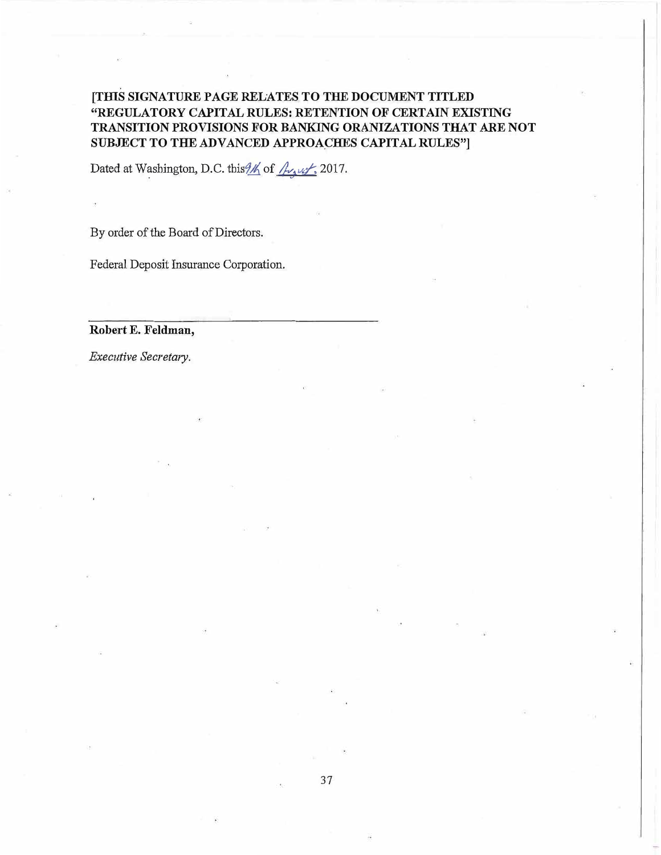# **[TIIlS SIGNATURE PAGE RELATES TO THE DOCUMENT TITLED "REGULATORY CAPITAL RULES: RETENTION OF CERTAIN EXISTING TRANSITION PROVISIONS FOR BANKING ORANIZATIONS THAT ARE NOT SUBJECT TO THE ADVANCED APPROACHES CAPITAL RULES"**]

Dated at Washington, D.C. this 46 of */<sub>Matt</sub>*, 2017.

By order of the Board of Directors.

Federal Deposit Insurance Corporation.

**Robert E. Feldman,** 

*Executive Secretary.*